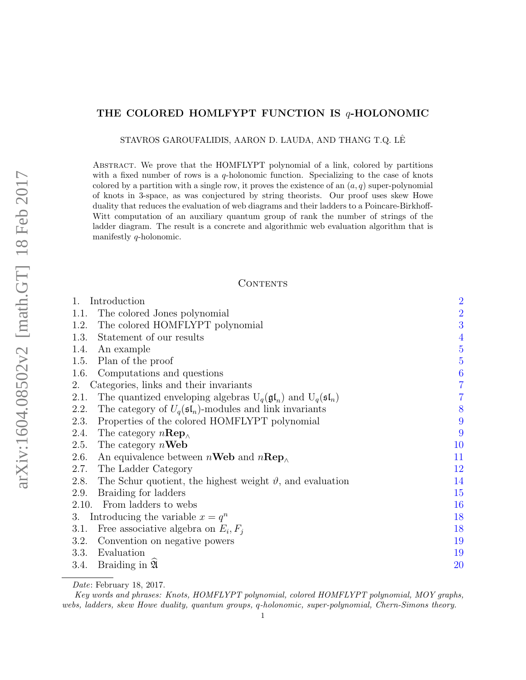# THE COLORED HOMLFYPT FUNCTION IS  $q$ -HOLONOMIC

STAVROS GAROUFALIDIS, AARON D. LAUDA, AND THANG T.Q. LEˆ

Abstract. We prove that the HOMFLYPT polynomial of a link, colored by partitions with a fixed number of rows is a  $q$ -holonomic function. Specializing to the case of knots colored by a partition with a single row, it proves the existence of an  $(a, q)$  super-polynomial of knots in 3-space, as was conjectured by string theorists. Our proof uses skew Howe duality that reduces the evaluation of web diagrams and their ladders to a Poincare-Birkhoff-Witt computation of an auxiliary quantum group of rank the number of strings of the ladder diagram. The result is a concrete and algorithmic web evaluation algorithm that is manifestly q-holonomic.

# CONTENTS

| Introduction<br>1.                                                                              | $\overline{2}$ |
|-------------------------------------------------------------------------------------------------|----------------|
| The colored Jones polynomial<br>1.1.                                                            | $\frac{2}{3}$  |
| The colored HOMFLYPT polynomial<br>1.2.                                                         |                |
| Statement of our results<br>1.3.                                                                |                |
| 1.4.<br>An example                                                                              | $\frac{4}{5}$  |
| Plan of the proof<br>1.5.                                                                       | $\overline{5}$ |
| Computations and questions<br>1.6.                                                              | $\frac{6}{7}$  |
| Categories, links and their invariants<br>2.                                                    |                |
| The quantized enveloping algebras $U_q(\mathfrak{gl}_n)$ and $U_q(\mathfrak{sl}_n)$<br>2.1.     | $\overline{7}$ |
| The category of $U_q(\mathfrak{sl}_n)$ -modules and link invariants<br>2.2.                     | 8              |
| Properties of the colored HOMFLYPT polynomial<br>2.3.                                           | 9              |
| The category $n\mathbf{Rep}_{\wedge}$<br>2.4.                                                   | 9              |
| 2.5.<br>The category $n$ <b>Web</b>                                                             | 10             |
| 2.6.<br>An equivalence between $n$ <b>Web</b> and $n$ <b>Rep</b> <sub><math>\wedge</math></sub> | 11             |
| 2.7.<br>The Ladder Category                                                                     | 12             |
| The Schur quotient, the highest weight $\vartheta$ , and evaluation<br>2.8.                     | 14             |
| Braiding for ladders<br>2.9.                                                                    | 15             |
| 2.10. From ladders to webs                                                                      | 16             |
| Introducing the variable $x = q^n$<br>3.                                                        | 18             |
| Free associative algebra on $E_i, F_i$<br>3.1.                                                  | 18             |
| 3.2.<br>Convention on negative powers                                                           | 19             |
| 3.3.<br>Evaluation                                                                              | 19             |
| Braiding in 24<br>3.4.                                                                          | 20             |
|                                                                                                 |                |

Date: February 18, 2017.

Key words and phrases: Knots, HOMFLYPT polynomial, colored HOMFLYPT polynomial, MOY graphs, webs, ladders, skew Howe duality, quantum groups, q-holonomic, super-polynomial, Chern-Simons theory.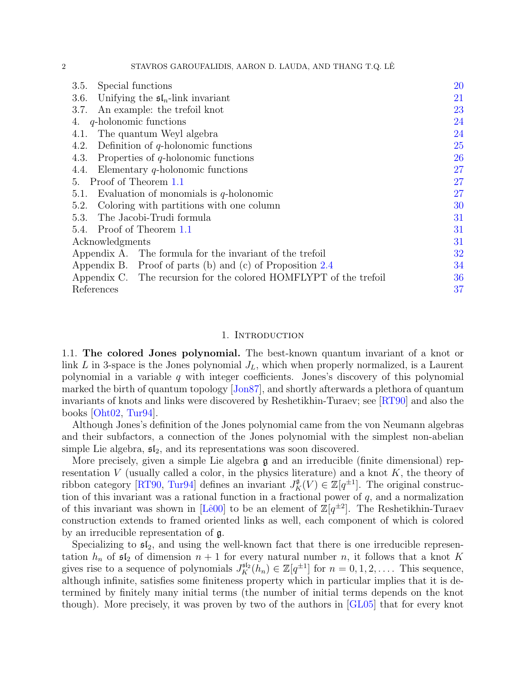2 STAVROS GAROUFALIDIS, AARON D. LAUDA, AND THANG T.Q. LEˆ

| Special functions<br>3.5.                                         | 20 |
|-------------------------------------------------------------------|----|
| Unifying the $\mathfrak{sl}_n$ -link invariant<br>3.6.            | 21 |
| An example: the trefoil knot<br>3.7.                              | 23 |
| $q$ -holonomic functions<br>4.                                    | 24 |
| The quantum Weyl algebra<br>4.1.                                  | 24 |
| Definition of $q$ -holonomic functions<br>4.2.                    | 25 |
| Properties of $q$ -holonomic functions<br>4.3.                    | 26 |
| Elementary $q$ -holonomic functions<br>4.4.                       | 27 |
| Proof of Theorem 1.1<br>5.                                        | 27 |
| Evaluation of monomials is $q$ -holonomic<br>5.1.                 | 27 |
| Coloring with partitions with one column<br>5.2.                  | 30 |
| 5.3. The Jacobi-Trudi formula                                     | 31 |
| 5.4. Proof of Theorem 1.1                                         | 31 |
| Acknowledgments                                                   | 31 |
| Appendix A. The formula for the invariant of the trefoil          | 32 |
| Appendix B. Proof of parts (b) and (c) of Proposition $2.4$       | 34 |
| Appendix C. The recursion for the colored HOMFLYPT of the trefoil | 36 |
| References                                                        | 37 |

### 1. INTRODUCTION

<span id="page-1-1"></span><span id="page-1-0"></span>1.1. The colored Jones polynomial. The best-known quantum invariant of a knot or link  $L$  in 3-space is the Jones polynomial  $J_L$ , which when properly normalized, is a Laurent polynomial in a variable  $q$  with integer coefficients. Jones's discovery of this polynomial marked the birth of quantum topology [\[Jon87\]](#page-38-0), and shortly afterwards a plethora of quantum invariants of knots and links were discovered by Reshetikhin-Turaev; see [\[RT90\]](#page-39-0) and also the books  $[Oht02, Tur94].$  $[Oht02, Tur94].$  $[Oht02, Tur94].$ 

Although Jones's definition of the Jones polynomial came from the von Neumann algebras and their subfactors, a connection of the Jones polynomial with the simplest non-abelian simple Lie algebra,  $\mathfrak{sl}_2$ , and its representations was soon discovered.

More precisely, given a simple Lie algebra  $\mathfrak g$  and an irreducible (finite dimensional) representation V (usually called a color, in the physics literature) and a knot  $K$ , the theory of ribbon category [\[RT90,](#page-39-0) [Tur94\]](#page-39-1) defines an invariant  $J_K^{\mathfrak{g}}(V) \in \mathbb{Z}[q^{\pm 1}]$ . The original construction of this invariant was a rational function in a fractional power of  $q$ , and a normalization of this invariant was shown in [Lê00] to be an element of  $\mathbb{Z}[q^{\pm 2}]$ . The Reshetikhin-Turaev construction extends to framed oriented links as well, each component of which is colored by an irreducible representation of g.

Specializing to  $\mathfrak{sl}_2$ , and using the well-known fact that there is one irreducible representation  $h_n$  of  $\mathfrak{sl}_2$  of dimension  $n+1$  for every natural number n, it follows that a knot K gives rise to a sequence of polynomials  $J_K^{\mathfrak{sl}_2}(h_n) \in \mathbb{Z}[q^{\pm 1}]$  for  $n = 0, 1, 2, \ldots$ . This sequence, although infinite, satisfies some finiteness property which in particular implies that it is determined by finitely many initial terms (the number of initial terms depends on the knot though). More precisely, it was proven by two of the authors in [\[GL05\]](#page-37-0) that for every knot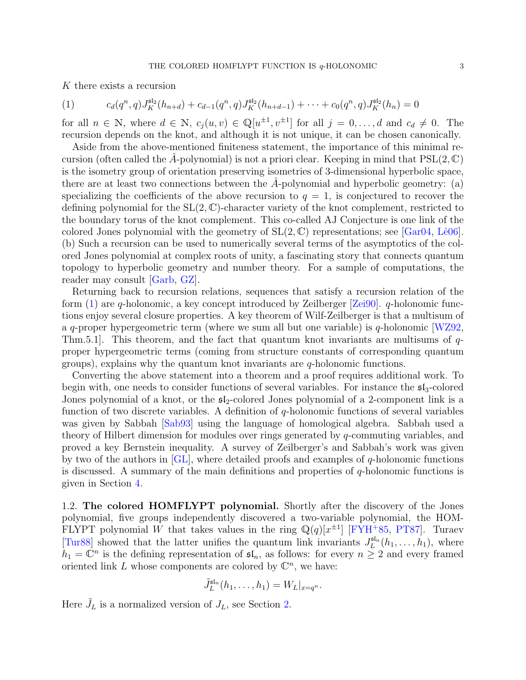K there exists a recursion

<span id="page-2-1"></span>(1) 
$$
c_d(q^n, q)J_K^{\mathfrak{sl}_2}(h_{n+d}) + c_{d-1}(q^n, q)J_K^{\mathfrak{sl}_2}(h_{n+d-1}) + \cdots + c_0(q^n, q)J_K^{\mathfrak{sl}_2}(h_n) = 0
$$

for all  $n \in \mathbb{N}$ , where  $d \in \mathbb{N}$ ,  $c_j(u, v) \in \mathbb{Q}[u^{\pm 1}, v^{\pm 1}]$  for all  $j = 0, \ldots, d$  and  $c_d \neq 0$ . The recursion depends on the knot, and although it is not unique, it can be chosen canonically.

Aside from the above-mentioned finiteness statement, the importance of this minimal recursion (often called the A-polynomial) is not a priori clear. Keeping in mind that  $PSL(2,\mathbb{C})$ is the isometry group of orientation preserving isometries of 3-dimensional hyperbolic space, there are at least two connections between the  $A$ -polynomial and hyperbolic geometry: (a) specializing the coefficients of the above recursion to  $q = 1$ , is conjectured to recover the defining polynomial for the  $SL(2, \mathbb{C})$ -character variety of the knot complement, restricted to the boundary torus of the knot complement. This co-called AJ Conjecture is one link of the colored Jones polynomial with the geometry of  $SL(2, \mathbb{C})$  representations; see [\[Gar04,](#page-37-1) Lê06]. (b) Such a recursion can be used to numerically several terms of the asymptotics of the colored Jones polynomial at complex roots of unity, a fascinating story that connects quantum topology to hyperbolic geometry and number theory. For a sample of computations, the reader may consult [\[Garb,](#page-37-2) [GZ\]](#page-37-3).

Returning back to recursion relations, sequences that satisfy a recursion relation of the form  $(1)$  are q-holonomic, a key concept introduced by Zeilberger [\[Zei90\]](#page-39-2). q-holonomic functions enjoy several closure properties. A key theorem of Wilf-Zeilberger is that a multisum of a q-proper hypergeometric term (where we sum all but one variable) is  $q$ -holonomic [\[WZ92,](#page-39-3) Thm.5.1]. This theorem, and the fact that quantum knot invariants are multisums of qproper hypergeometric terms (coming from structure constants of corresponding quantum groups), explains why the quantum knot invariants are  $q$ -holonomic functions.

Converting the above statement into a theorem and a proof requires additional work. To begin with, one needs to consider functions of several variables. For instance the  $\mathfrak{sl}_3$ -colored Jones polynomial of a knot, or the  $\mathfrak{sl}_2$ -colored Jones polynomial of a 2-component link is a function of two discrete variables. A definition of q-holonomic functions of several variables was given by Sabbah [\[Sab93\]](#page-39-4) using the language of homological algebra. Sabbah used a theory of Hilbert dimension for modules over rings generated by q-commuting variables, and proved a key Bernstein inequality. A survey of Zeilberger's and Sabbah's work was given by two of the authors in  $\vert GL \vert$ , where detailed proofs and examples of q-holonomic functions is discussed. A summary of the main definitions and properties of  $q$ -holonomic functions is given in Section [4.](#page-23-0)

<span id="page-2-0"></span>1.2. The colored HOMFLYPT polynomial. Shortly after the discovery of the Jones polynomial, five groups independently discovered a two-variable polynomial, the HOM-FLYPT polynomial W that takes values in the ring  $\mathbb{Q}(q)[x^{\pm 1}]$  [\[FYH](#page-37-5)<sup>+</sup>85, [PT87\]](#page-38-4). Turaev [\[Tur88\]](#page-39-5) showed that the latter unifies the quantum link invariants  $J_L^{\text{sl}_n}(h_1,\ldots,h_1)$ , where  $h_1 = \mathbb{C}^n$  is the defining representation of  $\mathfrak{sl}_n$ , as follows: for every  $n \geq 2$  and every framed oriented link  $L$  whose components are colored by  $\mathbb{C}^n$ , we have:

$$
\tilde{J}_L^{\mathfrak{sl}_n}(h_1,\ldots,h_1)=W_L|_{x=q^n}.
$$

Here  $\tilde{J}_L$  is a normalized version of  $J_L$ , see Section [2.](#page-6-0)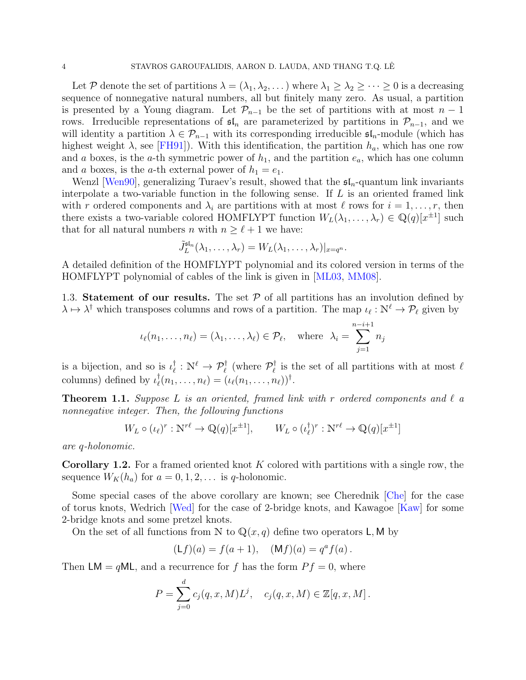Let P denote the set of partitions  $\lambda = (\lambda_1, \lambda_2, ...)$  where  $\lambda_1 \geq \lambda_2 \geq ... \geq 0$  is a decreasing sequence of nonnegative natural numbers, all but finitely many zero. As usual, a partition is presented by a Young diagram. Let  $\mathcal{P}_{n-1}$  be the set of partitions with at most  $n-1$ rows. Irreducible representations of  $\mathfrak{sl}_n$  are parameterized by partitions in  $\mathcal{P}_{n-1}$ , and we will identity a partition  $\lambda \in \mathcal{P}_{n-1}$  with its corresponding irreducible  $\mathfrak{sl}_n$ -module (which has highest weight  $\lambda$ , see [\[FH91\]](#page-37-6)). With this identification, the partition  $h_a$ , which has one row and a boxes, is the a-th symmetric power of  $h_1$ , and the partition  $e_a$ , which has one column and a boxes, is the a-th external power of  $h_1 = e_1$ .

Wenzl [\[Wen90\]](#page-39-6), generalizing Turaev's result, showed that the  $\mathfrak{sl}_n$ -quantum link invariants interpolate a two-variable function in the following sense. If  $L$  is an oriented framed link with r ordered components and  $\lambda_i$  are partitions with at most  $\ell$  rows for  $i = 1, \ldots, r$ , then there exists a two-variable colored HOMFLYPT function  $W_L(\lambda_1, \ldots, \lambda_r) \in \mathbb{Q}(q)[x^{\pm 1}]$  such that for all natural numbers *n* with  $n \geq \ell + 1$  we have:

$$
\tilde{J}_L^{\mathrm{sf}_n}(\lambda_1,\ldots,\lambda_r)=W_L(\lambda_1,\ldots,\lambda_r)|_{x=q^n}.
$$

A detailed definition of the HOMFLYPT polynomial and its colored version in terms of the HOMFLYPT polynomial of cables of the link is given in [\[ML03,](#page-38-5) [MM08\]](#page-38-6).

<span id="page-3-0"></span>1.3. Statement of our results. The set  $P$  of all partitions has an involution defined by  $\lambda \mapsto \lambda^{\dagger}$  which transposes columns and rows of a partition. The map  $\iota_{\ell} : \mathbb{N}^{\ell} \to \mathcal{P}_{\ell}$  given by

$$
\iota_{\ell}(n_1,\ldots,n_{\ell})=(\lambda_1,\ldots,\lambda_{\ell})\in\mathcal{P}_{\ell},\quad\text{where}\quad \lambda_i=\sum_{j=1}^{n-i+1}n_j
$$

is a bijection, and so is  $\iota_{\ell}^{\dagger}$  $\psi^{\dagger}_{\ell}: \mathbb{N}^{\ell} \to \mathcal{P}_{\ell}^{\dagger}$  (where  $\mathcal{P}_{\ell}^{\dagger}$  $\ell$ <sup>t</sup> is the set of all partitions with at most  $\ell$ columns) defined by  $\iota_{\ell}^{\dagger}$  $\big\{ \varrho(n_1,\ldots,n_\ell) = (\iota_\ell(n_1,\ldots,n_\ell))^\dagger.$ 

<span id="page-3-1"></span>**Theorem 1.1.** Suppose L is an oriented, framed link with r ordered components and  $\ell$  a nonnegative integer. Then, the following functions

$$
W_L \circ (\iota_\ell)^r : \mathbb{N}^{r\ell} \to \mathbb{Q}(q)[x^{\pm 1}], \qquad W_L \circ (\iota_\ell^{\dagger})^r : \mathbb{N}^{r\ell} \to \mathbb{Q}(q)[x^{\pm 1}]
$$

are q-holonomic.

**Corollary 1.2.** For a framed oriented knot K colored with partitions with a single row, the sequence  $W_K(h_a)$  for  $a = 0, 1, 2, \ldots$  is q-holonomic.

Some special cases of the above corollary are known; see Cherednik [\[Che\]](#page-37-7) for the case of torus knots, Wedrich [\[Wed\]](#page-39-7) for the case of 2-bridge knots, and Kawagoe [\[Kaw\]](#page-38-7) for some 2-bridge knots and some pretzel knots.

On the set of all functions from N to  $\mathbb{Q}(x, q)$  define two operators L, M by

$$
(Lf)(a) = f(a+1), \quad (Mf)(a) = qa f(a).
$$

Then LM =  $qML$ , and a recurrence for f has the form  $Pf = 0$ , where

$$
P = \sum_{j=0}^{d} c_j(q, x, M) L^j, \quad c_j(q, x, M) \in \mathbb{Z}[q, x, M].
$$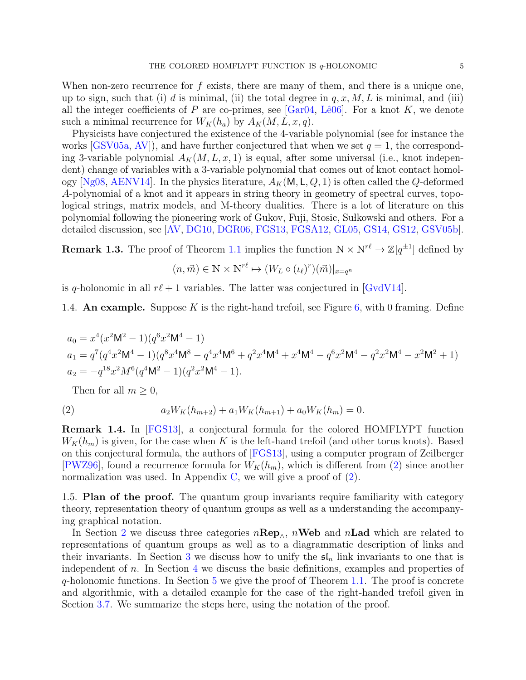When non-zero recurrence for  $f$  exists, there are many of them, and there is a unique one, up to sign, such that (i) d is minimal, (ii) the total degree in  $q, x, M, L$  is minimal, and (iii) all the integer coefficients of P are co-primes, see [\[Gar04,](#page-37-1) Lê06]. For a knot K, we denote such a minimal recurrence for  $W_K(h_a)$  by  $A_K(M, L, x, q)$ .

Physicists have conjectured the existence of the 4-variable polynomial (see for instance the works  $[GSV05a, AV]$  $[GSV05a, AV]$ , and have further conjectured that when we set  $q = 1$ , the corresponding 3-variable polynomial  $A_K(M, L, x, 1)$  is equal, after some universal (i.e., knot independent) change of variables with a 3-variable polynomial that comes out of knot contact homol-ogy [\[Ng08,](#page-38-8) [AENV14\]](#page-36-1). In the physics literature,  $A_K(M, L, Q, 1)$  is often called the Q-deformed A-polynomial of a knot and it appears in string theory in geometry of spectral curves, topological strings, matrix models, and M-theory dualities. There is a lot of literature on this polynomial following the pioneering work of Gukov, Fuji, Stosic, Sułkowski and others. For a detailed discussion, see [\[AV,](#page-37-9) [DG10,](#page-37-10) [DGR06,](#page-37-11) [FGS13,](#page-37-12) [FGSA12,](#page-37-13) [GL05,](#page-37-0) [GS14,](#page-37-14) [GS12,](#page-37-15) [GSV05b\]](#page-37-16).

**Remark 1.3.** The proof of Theorem [1.1](#page-3-1) implies the function  $N \times N^{r\ell} \to \mathbb{Z}[q^{\pm 1}]$  defined by

$$
(n, \vec{m}) \in \mathbb{N} \times \mathbb{N}^{r\ell} \mapsto (W_L \circ (\iota_\ell)^r)(\vec{m})|_{x=q^n}
$$

is q-holonomic in all  $r\ell + 1$  variables. The latter was conjectured in [\[GvdV14\]](#page-37-17).

<span id="page-4-0"></span>1.4. An example. Suppose K is the right-hand trefoil, see Figure [6,](#page-22-1) with 0 framing. Define

$$
a_0 = x^4(x^2M^2 - 1)(q^6x^2M^4 - 1)
$$
  
\n
$$
a_1 = q^7(q^4x^2M^4 - 1)(q^8x^4M^8 - q^4x^4M^6 + q^2x^4M^4 + x^4M^4 - q^6x^2M^4 - q^2x^2M^4 - x^2M^2 + 1)
$$
  
\n
$$
a_2 = -q^{18}x^2M^6(q^4M^2 - 1)(q^2x^2M^4 - 1).
$$

<span id="page-4-2"></span>Then for all  $m \geq 0$ ,

(2) 
$$
a_2W_K(h_{m+2}) + a_1W_K(h_{m+1}) + a_0W_K(h_m) = 0.
$$

Remark 1.4. In [\[FGS13\]](#page-37-12), a conjectural formula for the colored HOMFLYPT function  $W_K(h_m)$  is given, for the case when K is the left-hand trefoil (and other torus knots). Based on this conjectural formula, the authors of [\[FGS13\]](#page-37-12), using a computer program of Zeilberger [\[PWZ96\]](#page-38-9), found a recurrence formula for  $W_K(h_m)$ , which is different from [\(2\)](#page-4-2) since another normalization was used. In Appendix [C,](#page-35-0) we will give a proof of  $(2)$ .

<span id="page-4-1"></span>1.5. Plan of the proof. The quantum group invariants require familiarity with category theory, representation theory of quantum groups as well as a understanding the accompanying graphical notation.

In Section [2](#page-6-0) we discuss three categories  $n\mathbf{Rep}_{\wedge}$ ,  $n\mathbf{Web}$  and  $n\mathbf{Lad}$  which are related to representations of quantum groups as well as to a diagrammatic description of links and their invariants. In Section [3](#page-17-0) we discuss how to unify the  $\mathfrak{sl}_n$  link invariants to one that is independent of n. In Section [4](#page-23-0) we discuss the basic definitions, examples and properties of  $q$ -holonomic functions. In Section [5](#page-26-1) we give the proof of Theorem [1.1.](#page-3-1) The proof is concrete and algorithmic, with a detailed example for the case of the right-handed trefoil given in Section [3.7.](#page-22-0) We summarize the steps here, using the notation of the proof.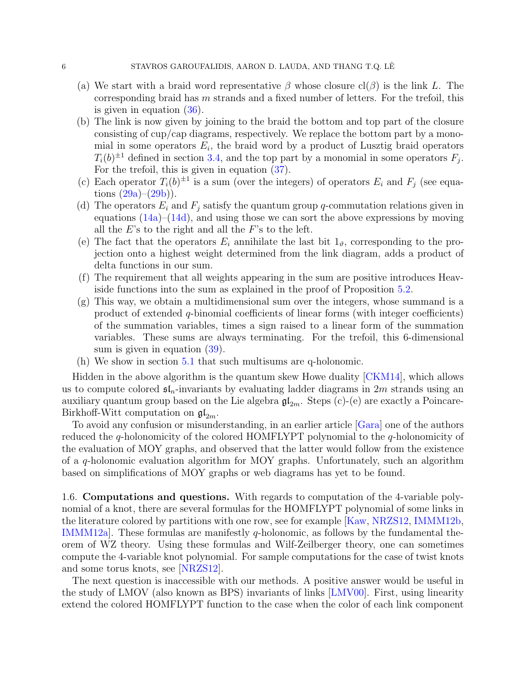- (a) We start with a braid word representative  $\beta$  whose closure cl( $\beta$ ) is the link L. The corresponding braid has m strands and a fixed number of letters. For the trefoil, this is given in equation  $(36)$ .
- (b) The link is now given by joining to the braid the bottom and top part of the closure consisting of cup/cap diagrams, respectively. We replace the bottom part by a monomial in some operators  $E_i$ , the braid word by a product of Lusztig braid operators  $T_i(b)^{\pm 1}$  defined in section [3.4,](#page-19-0) and the top part by a monomial in some operators  $F_j$ . For the trefoil, this is given in equation [\(37\)](#page-22-3).
- (c) Each operator  $T_i(b)^{\pm 1}$  is a sum (over the integers) of operators  $E_i$  and  $F_j$  (see equations  $(29a)-(29b)$  $(29a)-(29b)$ .
- (d) The operators  $E_i$  and  $F_j$  satisfy the quantum group q-commutation relations given in equations  $(14a)$ – $(14d)$ , and using those we can sort the above expressions by moving all the  $E$ 's to the right and all the  $F$ 's to the left.
- (e) The fact that the operators  $E_i$  annihilate the last bit  $1_{\vartheta}$ , corresponding to the projection onto a highest weight determined from the link diagram, adds a product of delta functions in our sum.
- (f) The requirement that all weights appearing in the sum are positive introduces Heaviside functions into the sum as explained in the proof of Proposition [5.2.](#page-27-0)
- (g) This way, we obtain a multidimensional sum over the integers, whose summand is a product of extended  $q$ -binomial coefficients of linear forms (with integer coefficients) of the summation variables, times a sign raised to a linear form of the summation variables. These sums are always terminating. For the trefoil, this 6-dimensional sum is given in equation  $(39)$ .
- (h) We show in section [5.1](#page-26-2) that such multisums are q-holonomic.

Hidden in the above algorithm is the quantum skew Howe duality [\[CKM14\]](#page-37-18), which allows us to compute colored  $\mathfrak{sl}_n$ -invariants by evaluating ladder diagrams in 2m strands using an auxiliary quantum group based on the Lie algebra  $\mathfrak{gl}_{2m}$ . Steps (c)-(e) are exactly a Poincare-Birkhoff-Witt computation on  $\mathfrak{gl}_{2m}$ .

To avoid any confusion or misunderstanding, in an earlier article [\[Gara\]](#page-37-19) one of the authors reduced the q-holonomicity of the colored HOMFLYPT polynomial to the q-holonomicity of the evaluation of MOY graphs, and observed that the latter would follow from the existence of a q-holonomic evaluation algorithm for MOY graphs. Unfortunately, such an algorithm based on simplifications of MOY graphs or web diagrams has yet to be found.

<span id="page-5-0"></span>1.6. Computations and questions. With regards to computation of the 4-variable polynomial of a knot, there are several formulas for the HOMFLYPT polynomial of some links in the literature colored by partitions with one row, see for example [\[Kaw,](#page-38-7) [NRZS12,](#page-38-10) [IMMM12b,](#page-38-11) IMMM12a. These formulas are manifestly  $q$ -holonomic, as follows by the fundamental theorem of WZ theory. Using these formulas and Wilf-Zeilberger theory, one can sometimes compute the 4-variable knot polynomial. For sample computations for the case of twist knots and some torus knots, see [\[NRZS12\]](#page-38-10).

The next question is inaccessible with our methods. A positive answer would be useful in the study of LMOV (also known as BPS) invariants of links [\[LMV00\]](#page-38-13). First, using linearity extend the colored HOMFLYPT function to the case when the color of each link component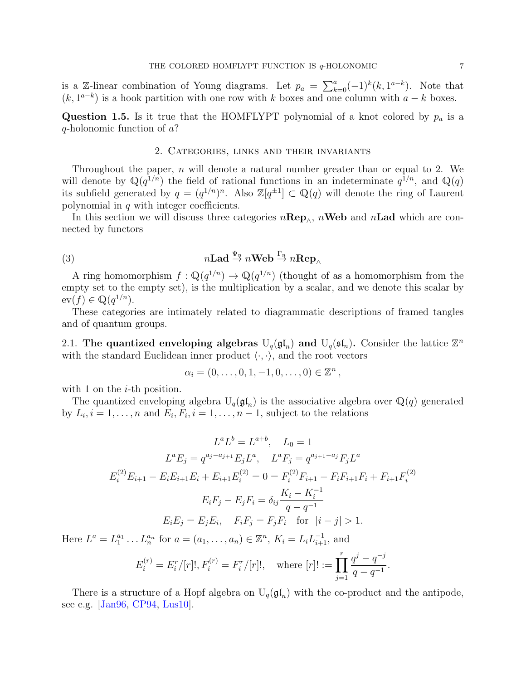is a Z-linear combination of Young diagrams. Let  $p_a = \sum_{k=0}^a (-1)^k (k, 1^{a-k})$ . Note that  $(k, 1^{a-k})$  is a hook partition with one row with k boxes and one column with  $a - k$  boxes.

**Question 1.5.** Is it true that the HOMFLYPT polynomial of a knot colored by  $p_a$  is a q-holonomic function of a?

## 2. Categories, links and their invariants

<span id="page-6-0"></span>Throughout the paper,  $n$  will denote a natural number greater than or equal to 2. We will denote by  $\mathbb{Q}(q^{1/n})$  the field of rational functions in an indeterminate  $q^{1/n}$ , and  $\mathbb{Q}(q)$ its subfield generated by  $q = (q^{1/n})^n$ . Also  $\mathbb{Z}[q^{\pm 1}] \subset \mathbb{Q}(q)$  will denote the ring of Laurent polynomial in  $q$  with integer coefficients.

In this section we will discuss three categories  $n\mathbf{Rep}_{\wedge}$ ,  $n\mathbf{Web}$  and  $n\mathbf{Lad}$  which are connected by functors

(3) 
$$
n\mathbf{Lad} \stackrel{\Psi_n}{\rightarrow} n\mathbf{Web} \stackrel{\Gamma_n}{\rightarrow} n\mathbf{Rep}_{\wedge}
$$

A ring homomorphism  $f: \mathbb{Q}(q^{1/n}) \to \mathbb{Q}(q^{1/n})$  (thought of as a homomorphism from the empty set to the empty set), is the multiplication by a scalar, and we denote this scalar by  $ev(f) \in \mathbb{Q}(q^{1/n}).$ 

These categories are intimately related to diagrammatic descriptions of framed tangles and of quantum groups.

<span id="page-6-1"></span>2.1. The quantized enveloping algebras  $U_q(\mathfrak{gl}_n)$  and  $U_q(\mathfrak{sl}_n)$ . Consider the lattice  $\mathbb{Z}^n$ with the standard Euclidean inner product  $\langle \cdot, \cdot \rangle$ , and the root vectors

$$
\alpha_i = (0, \ldots, 0, 1, -1, 0, \ldots, 0) \in \mathbb{Z}^n
$$

with 1 on the  $i$ -th position.

The quantized enveloping algebra  $U_q(\mathfrak{gl}_n)$  is the associative algebra over  $\mathbb{Q}(q)$  generated by  $L_i, i = 1, \ldots, n$  and  $E_i, F_i, i = 1, \ldots, n-1$ , subject to the relations

$$
L^{a}L^{b} = L^{a+b}, \quad L_{0} = 1
$$
  
\n
$$
L^{a}E_{j} = q^{a_{j}-a_{j+1}}E_{j}L^{a}, \quad L^{a}F_{j} = q^{a_{j+1}-a_{j}}F_{j}L^{a}
$$
  
\n
$$
E_{i}^{(2)}E_{i+1} - E_{i}E_{i+1}E_{i} + E_{i+1}E_{i}^{(2)} = 0 = F_{i}^{(2)}F_{i+1} - F_{i}F_{i+1}F_{i} + F_{i+1}F_{i}^{(2)}
$$
  
\n
$$
E_{i}F_{j} - E_{j}F_{i} = \delta_{ij}\frac{K_{i} - K_{i}^{-1}}{q - q^{-1}}
$$
  
\n
$$
E_{i}E_{j} = E_{j}E_{i}, \quad F_{i}F_{j} = F_{j}F_{i} \quad \text{for} \quad |i - j| > 1.
$$

Here  $L^a = L_1^{a_1} \dots L_n^{a_n}$  for  $a = (a_1, \dots, a_n) \in \mathbb{Z}^n$ ,  $K_i = L_i L_{i+1}^{-1}$ , and

$$
E_i^{(r)} = E_i^r/[r]!, F_i^{(r)} = F_i^r/[r]!, \quad \text{where } [r]! := \prod_{j=1}^r \frac{q^j - q^{-j}}{q - q^{-1}}.
$$

There is a structure of a Hopf algebra on  $U_q(\mathfrak{gl}_n)$  with the co-product and the antipode, see e.g. [\[Jan96,](#page-38-14) [CP94,](#page-37-20) [Lus10\]](#page-38-15).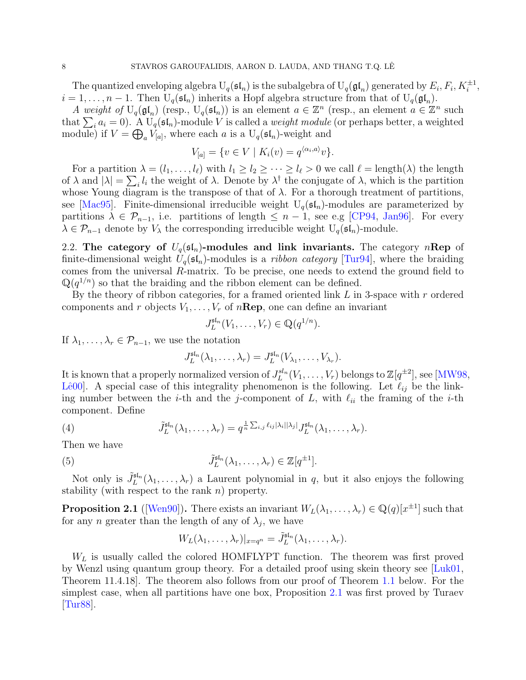The quantized enveloping algebra  $U_q(\mathfrak{sl}_n)$  is the subalgebra of  $U_q(\mathfrak{gl}_n)$  generated by  $E_i, F_i, K_i^{\pm 1}$ ,  $i = 1, \ldots, n-1$ . Then  $U_q(\mathfrak{sl}_n)$  inherits a Hopf algebra structure from that of  $U_q(\mathfrak{gl}_n)$ .

A weight of  $U_q(\mathfrak{gl}_n)$  (resp.,  $U_q(\mathfrak{sl}_n)$ ) is an element  $a \in \mathbb{Z}^n$  (resp., an element  $a \in \mathbb{Z}^n$  such that  $\sum_i a_i = 0$ . A  $U_q(\mathfrak{sl}_n)$ -module V is called a *weight module* (or perhaps better, a weighted module) if  $V = \bigoplus_a V_{[a]}$ , where each a is a  $U_q(\mathfrak{sl}_n)$ -weight and

$$
V_{[a]} = \{ v \in V \mid K_i(v) = q^{\langle \alpha_i, a \rangle} v \}.
$$

For a partition  $\lambda = (l_1, \ldots, l_\ell)$  with  $l_1 \geq l_2 \geq \cdots \geq l_\ell > 0$  we call  $\ell = \text{length}(\lambda)$  the length of  $\lambda$  and  $|\lambda| = \sum_i l_i$  the weight of  $\lambda$ . Denote by  $\lambda^{\dagger}$  the conjugate of  $\lambda$ , which is the partition whose Young diagram is the transpose of that of  $\lambda$ . For a thorough treatment of partitions, see [\[Mac95\]](#page-38-16). Finite-dimensional irreducible weight  $U_q(\mathfrak{sl}_n)$ -modules are parameterized by partitions  $\lambda \in \mathcal{P}_{n-1}$ , i.e. partitions of length  $\leq n-1$ , see e.g [\[CP94,](#page-37-20) [Jan96\]](#page-38-14). For every  $\lambda \in \mathcal{P}_{n-1}$  denote by  $V_{\lambda}$  the corresponding irreducible weight  $U_q(\mathfrak{sl}_n)$ -module.

<span id="page-7-0"></span>2.2. The category of  $U_q(\mathfrak{sl}_n)$ -modules and link invariants. The category nRep of finite-dimensional weight  $U_q(\mathfrak{sl}_n)$ -modules is a *ribbon category* [\[Tur94\]](#page-39-1), where the braiding comes from the universal  $R$ -matrix. To be precise, one needs to extend the ground field to  $\mathbb{Q}(q^{1/n})$  so that the braiding and the ribbon element can be defined.

By the theory of ribbon categories, for a framed oriented link  $L$  in 3-space with  $r$  ordered components and r objects  $V_1, \ldots, V_r$  of  $n\mathbf{Rep}$ , one can define an invariant

$$
J_L^{\mathfrak{sl}_n}(V_1,\ldots,V_r)\in\mathbb{Q}(q^{1/n}).
$$

If  $\lambda_1, \ldots, \lambda_r \in \mathcal{P}_{n-1}$ , we use the notation

$$
J_L^{\mathfrak{sl}_n}(\lambda_1,\ldots,\lambda_r)=J_L^{\mathfrak{sl}_n}(V_{\lambda_1},\ldots,V_{\lambda_r}).
$$

It is known that a properly normalized version of  $J_L^{sl_n}(V_1,\ldots,V_r)$  belongs to  $\mathbb{Z}[q^{\pm 2}]$ , see [\[MW98,](#page-38-17) Lê00. A special case of this integrality phenomenon is the following. Let  $\ell_{ij}$  be the linking number between the *i*-th and the *j*-component of L, with  $\ell_{ii}$  the framing of the *i*-th component. Define

(4) 
$$
\tilde{J}_L^{\mathsf{sl}_n}(\lambda_1,\ldots,\lambda_r)=q^{\frac{1}{n}\sum_{i,j}\ell_{ij}|\lambda_i||\lambda_j|}J_L^{\mathsf{sl}_n}(\lambda_1,\ldots,\lambda_r).
$$

Then we have

(5) 
$$
\tilde{J}_L^{\mathfrak{sl}_n}(\lambda_1,\ldots,\lambda_r) \in \mathbb{Z}[q^{\pm 1}].
$$

Not only is  $\tilde{J}_L^{\text{sf}_n}(\lambda_1,\ldots,\lambda_r)$  a Laurent polynomial in q, but it also enjoys the following stability (with respect to the rank  $n$ ) property.

<span id="page-7-1"></span>**Proposition 2.1** ([\[Wen90\]](#page-39-6)). There exists an invariant  $W_L(\lambda_1, \ldots, \lambda_r) \in \mathbb{Q}(q)[x^{\pm 1}]$  such that for any n greater than the length of any of  $\lambda_j$ , we have

<span id="page-7-2"></span>
$$
W_L(\lambda_1,\ldots,\lambda_r)|_{x=q^n}=\tilde{J}_L^{\mathrm{sl}_n}(\lambda_1,\ldots,\lambda_r).
$$

 $W_L$  is usually called the colored HOMFLYPT function. The theorem was first proved by Wenzl using quantum group theory. For a detailed proof using skein theory see [\[Luk01,](#page-38-18) Theorem 11.4.18]. The theorem also follows from our proof of Theorem [1.1](#page-3-1) below. For the simplest case, when all partitions have one box, Proposition [2.1](#page-7-1) was first proved by Turaev [\[Tur88\]](#page-39-5).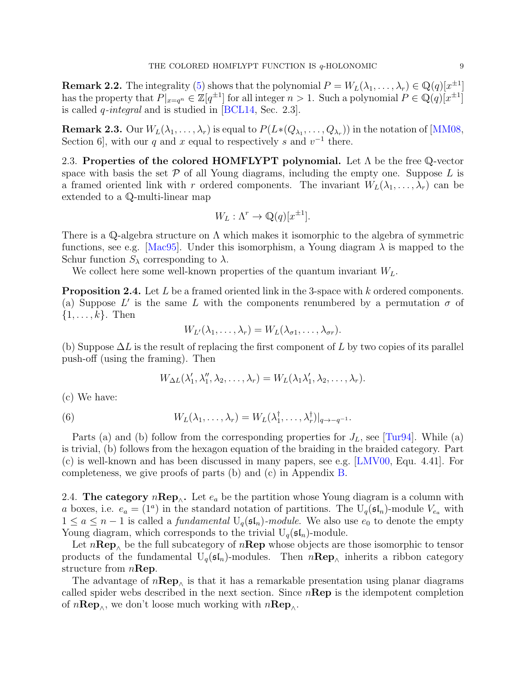**Remark 2.2.** The integrality [\(5\)](#page-7-2) shows that the polynomial  $P = W_L(\lambda_1, \ldots, \lambda_r) \in \mathbb{Q}(q)[x^{\pm 1}]$ has the property that  $P|_{x=q^n} \in \mathbb{Z}[q^{\pm 1}]$  for all integer  $n > 1$ . Such a polynomial  $P \in \mathbb{Q}(q)[x^{\pm 1}]$ is called q-integral and is studied in [\[BCL14,](#page-37-21) Sec. 2.3].

 ${\bf Remark~2.3.~}$  Our  $W_L(\lambda_1,\ldots,\lambda_r)$  is equal to  $P(L*(Q_{\lambda_1},\ldots,Q_{\lambda_r}))$  in the notation of [\[MM08,](#page-38-6) Section 6, with our q and x equal to respectively s and  $v^{-1}$  there.

<span id="page-8-0"></span>2.3. Properties of the colored HOMFLYPT polynomial. Let  $\Lambda$  be the free Q-vector space with basis the set  $P$  of all Young diagrams, including the empty one. Suppose  $L$  is a framed oriented link with r ordered components. The invariant  $W_L(\lambda_1, \ldots, \lambda_r)$  can be extended to a Q-multi-linear map

$$
W_L: \Lambda^r \to \mathbb{Q}(q)[x^{\pm 1}].
$$

There is a Q-algebra structure on  $\Lambda$  which makes it isomorphic to the algebra of symmetric functions, see e.g. [\[Mac95\]](#page-38-16). Under this isomorphism, a Young diagram  $\lambda$  is mapped to the Schur function  $S_{\lambda}$  corresponding to  $\lambda$ .

We collect here some well-known properties of the quantum invariant  $W_L$ .

<span id="page-8-2"></span>**Proposition 2.4.** Let L be a framed oriented link in the 3-space with k ordered components. (a) Suppose L' is the same L with the components renumbered by a permutation  $\sigma$  of  $\{1,\ldots,k\}$ . Then

$$
W_{L'}(\lambda_1,\ldots,\lambda_r)=W_L(\lambda_{\sigma 1},\ldots,\lambda_{\sigma r}).
$$

(b) Suppose  $\Delta L$  is the result of replacing the first component of L by two copies of its parallel push-off (using the framing). Then

$$
W_{\Delta L}(\lambda'_1, \lambda''_1, \lambda_2, \ldots, \lambda_r) = W_L(\lambda_1 \lambda'_1, \lambda_2, \ldots, \lambda_r).
$$

(c) We have:

(6) 
$$
W_L(\lambda_1,\ldots,\lambda_r) = W_L(\lambda_1^{\dagger},\ldots,\lambda_r^{\dagger})|_{q \to -q^{-1}}.
$$

Parts (a) and (b) follow from the corresponding properties for  $J_L$ , see [\[Tur94\]](#page-39-1). While (a) is trivial, (b) follows from the hexagon equation of the braiding in the braided category. Part (c) is well-known and has been discussed in many papers, see e.g. [\[LMV00,](#page-38-13) Equ. 4.41]. For completeness, we give proofs of parts (b) and (c) in Appendix [B.](#page-33-0)

<span id="page-8-1"></span>2.4. The category  $n \mathbf{Rep}_{\wedge}$ . Let  $e_a$  be the partition whose Young diagram is a column with a boxes, i.e.  $e_a = (1^a)$  in the standard notation of partitions. The U<sub>q</sub>( $\mathfrak{sl}_n$ )-module  $V_{e_a}$  with  $1 \le a \le n-1$  is called a *fundamental*  $U_q(\mathfrak{sl}_n)$ -module. We also use  $e_0$  to denote the empty Young diagram, which corresponds to the trivial  $U_q(\mathfrak{sl}_n)$ -module.

Let  $n\mathbf{Rep}_{\wedge}$  be the full subcategory of  $n\mathbf{Rep}$  whose objects are those isomorphic to tensor products of the fundamental  $U_q(\mathfrak{sl}_n)$ -modules. Then  $n\mathbf{Rep}_{\wedge}$  inherits a ribbon category structure from  $n\mathbf{Rep}$ .

The advantage of  $n\mathbf{Rep}_{\wedge}$  is that it has a remarkable presentation using planar diagrams called spider webs described in the next section. Since  $n\mathbf{Rep}$  is the idempotent completion of  $n\mathbf{Rep}_{\wedge}$ , we don't loose much working with  $n\mathbf{Rep}_{\wedge}$ .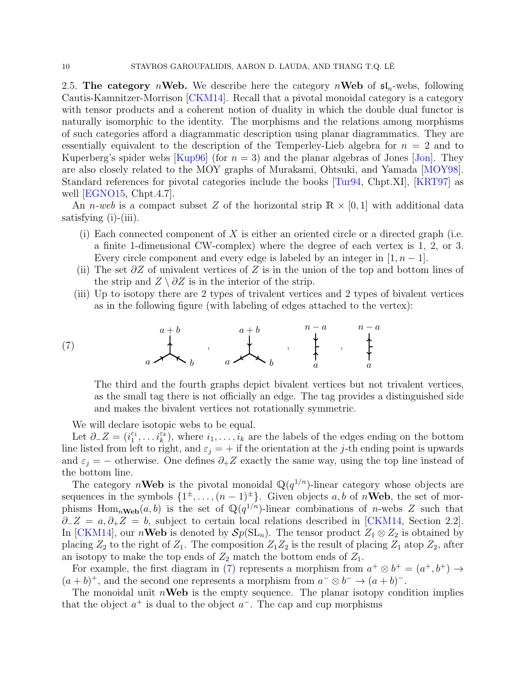<span id="page-9-0"></span>2.5. The category *n*Web. We describe here the category *n*Web of  $\mathfrak{sl}_n$ -webs, following Cautis-Kamnitzer-Morrison [\[CKM14\]](#page-37-18). Recall that a pivotal monoidal category is a category with tensor products and a coherent notion of duality in which the double dual functor is naturally isomorphic to the identity. The morphisms and the relations among morphisms of such categories afford a diagrammatic description using planar diagrammatics. They are essentially equivalent to the description of the Temperley-Lieb algebra for  $n = 2$  and to Kuperberg's spider webs [\[Kup96\]](#page-38-19) (for  $n = 3$ ) and the planar algebras of Jones [\[Jon\]](#page-38-20). They are also closely related to the MOY graphs of Murakami, Ohtsuki, and Yamada [\[MOY98\]](#page-38-21). Standard references for pivotal categories include the books [\[Tur94,](#page-39-1) Chpt.XI], [\[KRT97\]](#page-38-22) as well [\[EGNO15,](#page-37-22) Chpt.4.7].

An *n-web* is a compact subset Z of the horizontal strip  $\mathbb{R} \times [0,1]$  with additional data satisfying (i)-(iii).

- (i) Each connected component of  $X$  is either an oriented circle or a directed graph (i.e. a finite 1-dimensional CW-complex) where the degree of each vertex is 1, 2, or 3. Every circle component and every edge is labeled by an integer in  $[1, n-1]$ .
- (ii) The set  $\partial Z$  of univalent vertices of Z is in the union of the top and bottom lines of the strip and  $Z \setminus \partial Z$  is in the interior of the strip.
- (iii) Up to isotopy there are 2 types of trivalent vertices and 2 types of bivalent vertices as in the following figure (with labeling of edges attached to the vertex):

(7) b a + b a , a + b a b , a n − a , a n − a

<span id="page-9-1"></span>The third and the fourth graphs depict bivalent vertices but not trivalent vertices, as the small tag there is not officially an edge. The tag provides a distinguished side and makes the bivalent vertices not rotationally symmetric.

We will declare isotopic webs to be equal.

Let  $\partial_z Z = (i_1^{\varepsilon_1}, \ldots, i_k^{\varepsilon_k})$ , where  $i_1, \ldots, i_k$  are the labels of the edges ending on the bottom line listed from left to right, and  $\varepsilon_i = +$  if the orientation at the j-th ending point is upwards and  $\varepsilon_j = -$  otherwise. One defines  $\partial_+ Z$  exactly the same way, using the top line instead of the bottom line.

The category nWeb is the pivotal monoidal  $\mathbb{Q}(q^{1/n})$ -linear category whose objects are sequences in the symbols  $\{1^{\pm}, \ldots, (n-1)^{\pm}\}\$ . Given objects a, b of nWeb, the set of morphisms Hom<sub>n</sub>Web(a, b) is the set of  $\mathbb{Q}(q^{1/n})$ -linear combinations of n-webs Z such that  $\partial$ −Z = a, $\partial_+$ Z = b, subject to certain local relations described in [\[CKM14,](#page-37-18) Section 2.2]. In [\[CKM14\]](#page-37-18), our *n***Web** is denoted by  $\mathcal{S}p(SL_n)$ . The tensor product  $Z_1 \otimes Z_2$  is obtained by placing  $Z_2$  to the right of  $Z_1$ . The composition  $Z_1Z_2$  is the result of placing  $Z_1$  atop  $Z_2$ , after an isotopy to make the top ends of  $Z_2$  match the bottom ends of  $Z_1$ .

For example, the first diagram in [\(7\)](#page-9-1) represents a morphism from  $a^+ \otimes b^+ = (a^+, b^+) \rightarrow$  $(a + b)^{+}$ , and the second one represents a morphism from  $a^{-} \otimes b^{-} \rightarrow (a + b)^{-}$ .

The monoidal unit  $n$ **Web** is the empty sequence. The planar isotopy condition implies that the object  $a^+$  is dual to the object  $a^-$ . The cap and cup morphisms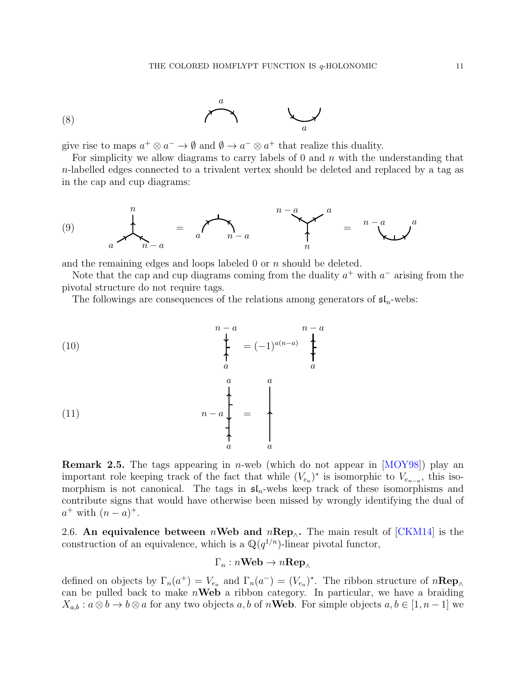

give rise to maps  $a^+ \otimes a^- \to \emptyset$  and  $\emptyset \to a^- \otimes a^+$  that realize this duality.

For simplicity we allow diagrams to carry labels of  $0$  and  $n$  with the understanding that n-labelled edges connected to a trivalent vertex should be deleted and replaced by a tag as in the cap and cup diagrams:

<span id="page-10-1"></span>
$$
(9) \qquad \qquad \downarrow \qquad \qquad \downarrow \qquad \qquad \downarrow \qquad \qquad \downarrow \qquad \qquad \downarrow \qquad \qquad \downarrow \qquad \qquad \downarrow \qquad \qquad \downarrow \qquad \qquad \downarrow \qquad \qquad \downarrow \qquad \qquad \downarrow
$$

and the remaining edges and loops labeled  $0$  or  $n$  should be deleted.

Note that the cap and cup diagrams coming from the duality  $a^+$  with  $a^-$  arising from the pivotal structure do not require tags.

The followings are consequences of the relations among generators of  $\mathfrak{sl}_n$ -webs:

<span id="page-10-2"></span>(10)  
\n
$$
\begin{array}{ccc}\nn-a & n-a \\
\downarrow & \downarrow & \downarrow \\
a & a & a \\
\downarrow & \downarrow & \downarrow \\
n-a & \downarrow & \downarrow \\
a & a & a\n\end{array}
$$
\n(11)

<span id="page-10-3"></span>**Remark 2.5.** The tags appearing in *n*-web (which do not appear in  $[MOY98]$ ) play an important role keeping track of the fact that while  $(V_{e_a})^*$  is isomorphic to  $V_{e_{n-a}}$ , this isomorphism is not canonical. The tags in  $\mathfrak{sl}_n$ -webs keep track of these isomorphisms and contribute signs that would have otherwise been missed by wrongly identifying the dual of  $a^+$  with  $(n - a)^+$ .

<span id="page-10-0"></span>2.6. An equivalence between nWeb and nRep<sub>∧</sub>. The main result of [\[CKM14\]](#page-37-18) is the construction of an equivalence, which is a  $\mathbb{Q}(q^{1/n})$ -linear pivotal functor,

$$
\Gamma_n: n\textbf{Web} \to n\textbf{Rep}_{\wedge}
$$

defined on objects by  $\Gamma_n(a^+) = V_{e_a}$  and  $\Gamma_n(a^-) = (V_{e_a})^*$ . The ribbon structure of  $n \mathbf{Rep}_{\wedge}$ can be pulled back to make  $n$ **Web** a ribbon category. In particular, we have a braiding  $X_{a,b}: a\otimes b \to b\otimes a$  for any two objects a, b of n**Web**. For simple objects  $a, b \in [1, n-1]$  we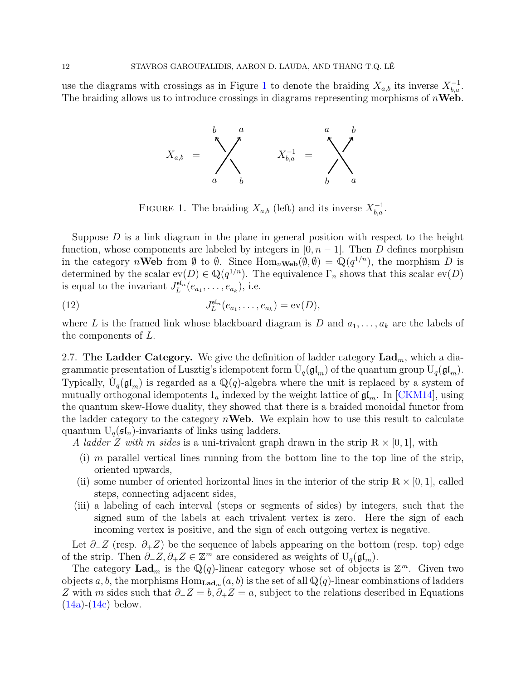use the diagrams with crossings as in Figure [1](#page-11-1) to denote the braiding  $X_{a,b}$  its inverse  $X_{b,a}^{-1}$ . The braiding allows us to introduce crossings in diagrams representing morphisms of  $n\text{Web}$ .



<span id="page-11-2"></span><span id="page-11-1"></span>FIGURE 1. The braiding  $X_{a,b}$  (left) and its inverse  $X_{b,a}^{-1}$ .

Suppose  $D$  is a link diagram in the plane in general position with respect to the height function, whose components are labeled by integers in  $[0, n-1]$ . Then D defines morphism in the category nWeb from  $\emptyset$  to  $\emptyset$ . Since  $\text{Hom}_{n\text{Web}}(\emptyset, \emptyset) = \mathbb{Q}(q^{1/n})$ , the morphism D is determined by the scalar  $ev(D) \in \mathbb{Q}(q^{1/n})$ . The equivalence  $\Gamma_n$  shows that this scalar  $ev(D)$ is equal to the invariant  $J_L^{\mathfrak{sl}_n}(e_{a_1}, \ldots, e_{a_k}),$  i.e.

(12) 
$$
J_L^{\mathfrak{sl}_n}(e_{a_1},...,e_{a_k}) = \text{ev}(D),
$$

where L is the framed link whose blackboard diagram is D and  $a_1, \ldots, a_k$  are the labels of the components of L.

<span id="page-11-0"></span>2.7. The Ladder Category. We give the definition of ladder category  $\text{Lad}_m$ , which a diagrammatic presentation of Lusztig's idempotent form  $\dot{U}_q(\mathfrak{gl}_m)$  of the quantum group  $U_q(\mathfrak{gl}_m)$ . Typically,  $\dot{U}_q(\mathfrak{gl}_m)$  is regarded as a  $\mathbb{Q}(q)$ -algebra where the unit is replaced by a system of mutually orthogonal idempotents  $1_a$  indexed by the weight lattice of  $\mathfrak{gl}_m$ . In [\[CKM14\]](#page-37-18), using the quantum skew-Howe duality, they showed that there is a braided monoidal functor from the ladder category to the category  $n$ **Web**. We explain how to use this result to calculate quantum  $U_q(\mathfrak{sl}_n)$ -invariants of links using ladders.

A ladder Z with m sides is a uni-trivalent graph drawn in the strip  $\mathbb{R} \times [0,1]$ , with

- (i) m parallel vertical lines running from the bottom line to the top line of the strip, oriented upwards,
- (ii) some number of oriented horizontal lines in the interior of the strip  $\mathbb{R} \times [0,1]$ , called steps, connecting adjacent sides,
- (iii) a labeling of each interval (steps or segments of sides) by integers, such that the signed sum of the labels at each trivalent vertex is zero. Here the sign of each incoming vertex is positive, and the sign of each outgoing vertex is negative.

Let  $\partial_{-}Z$  (resp.  $\partial_{+}Z$ ) be the sequence of labels appearing on the bottom (resp. top) edge of the strip. Then  $\partial_- Z, \partial_+ Z \in \mathbb{Z}^m$  are considered as weights of  $U_q(\mathfrak{gl}_m)$ .

The category  $\mathbf{Lad}_m$  is the  $\mathbb{Q}(q)$ -linear category whose set of objects is  $\mathbb{Z}^m$ . Given two objects a, b, the morphisms  $\text{Hom}_{\textbf{Lad}_m}(a, b)$  is the set of all  $\mathbb{Q}(q)$ -linear combinations of ladders Z with m sides such that  $\partial$ -Z = b,  $\partial_+Z = a$ , subject to the relations described in Equations  $(14a)-(14e)$  $(14a)-(14e)$  $(14a)-(14e)$  below.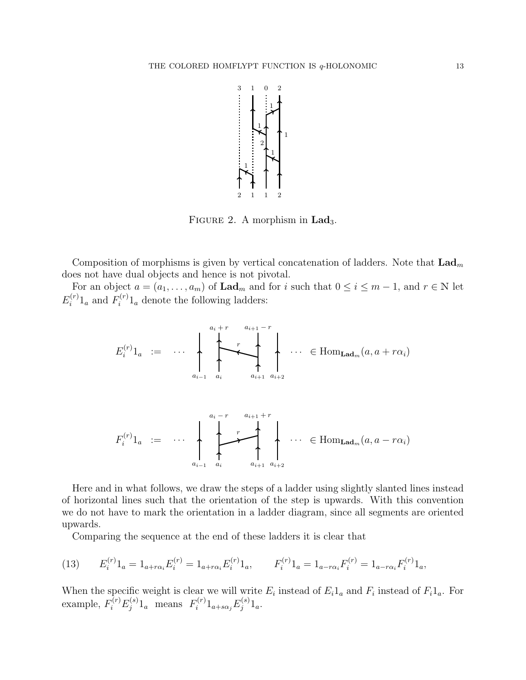

FIGURE 2. A morphism in  $\text{Lad}_3$ .

Composition of morphisms is given by vertical concatenation of ladders. Note that  $\text{Lad}_{m}$ does not have dual objects and hence is not pivotal.

For an object  $a = (a_1, \ldots, a_m)$  of  $\text{Lad}_m$  and for i such that  $0 \le i \le m-1$ , and  $r \in \mathbb{N}$  let  $E_i^{(r)}$  $\int_i^{(r)} 1_a$  and  $F_i^{(r)}$  $i^{(r)}1_a$  denote the following ladders:

$$
E_i^{(r)}1_a := \cdots \sum_{a_{i-1}}^{a_i+r} \underbrace{\leftarrow}_{a_i} \underbrace{\leftarrow}_{a_{i+1}} \underbrace{\leftarrow}_{a_{i+2}} \cdots \in \text{Hom}_{\text{Lad}_m}(a, a + r\alpha_i)
$$

F (r) i 1<sup>a</sup> := . . . . . . ai−<sup>1</sup> a<sup>i</sup> ai+1 ai+2 a<sup>i</sup> − r ai+1 + r r ∈ HomLadm(a, a − rαi)

Here and in what follows, we draw the steps of a ladder using slightly slanted lines instead of horizontal lines such that the orientation of the step is upwards. With this convention we do not have to mark the orientation in a ladder diagram, since all segments are oriented upwards.

<span id="page-12-0"></span>Comparing the sequence at the end of these ladders it is clear that

(13) 
$$
E_i^{(r)} 1_a = 1_{a+r\alpha_i} E_i^{(r)} = 1_{a+r\alpha_i} E_i^{(r)} 1_a, \qquad F_i^{(r)} 1_a = 1_{a-r\alpha_i} F_i^{(r)} = 1_{a-r\alpha_i} F_i^{(r)} 1_a,
$$

When the specific weight is clear we will write  $E_i$  instead of  $E_i 1_a$  and  $F_i$  instead of  $F_i 1_a$ . For example,  $F_i^{(r)}F_j^{(s)}$  $f_j^{(s)}1_a$  means  $F_i^{(r)}$  $E_i^{(r)}1_{a+s\alpha_j}E_j^{(s)}$  $j^{(s)} 1_a.$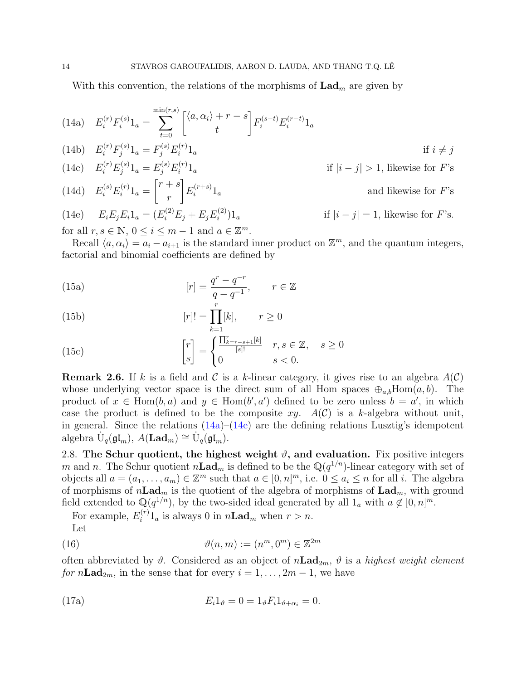With this convention, the relations of the morphisms of  $\text{Lad}_m$  are given by

<span id="page-13-5"></span><span id="page-13-1"></span>(14a) 
$$
E_i^{(r)} F_i^{(s)} 1_a = \sum_{t=0}^{\min(r,s)} \begin{bmatrix} \langle a, \alpha_i \rangle + r - s \\ t \end{bmatrix} F_i^{(s-t)} E_i^{(r-t)} 1_a
$$
  
\n(14b)  $E_i^{(r)} F_j^{(s)} 1_a = F_j^{(s)} E_i^{(r)} 1_a$  if  $i \neq j$   
\n(14c)  $E_i^{(r)} E_j^{(s)} 1_a = E_j^{(s)} E_i^{(r)} 1_a$  if  $|i - j| > 1$ , likewise for  $F$ 's  
\n(14d)  $E_i^{(s)} E_i^{(r)} 1_a = \begin{bmatrix} r + s \\ r \end{bmatrix} E_i^{(r+s)} 1_a$  and likewise for  $F$ 's  
\n(14e)  $E_i E_j E_i 1_a = (E_i^{(2)} E_j + E_j E_i^{(2)}) 1_a$  if  $|i - j| = 1$ , likewise for  $F$ 's.

<span id="page-13-3"></span><span id="page-13-2"></span>for all  $r, s \in \mathbb{N}, 0 \leq i \leq m-1$  and  $a \in \mathbb{Z}^m$ .

Recall  $\langle a, \alpha_i \rangle = a_i - a_{i+1}$  is the standard inner product on  $\mathbb{Z}^m$ , and the quantum integers, factorial and binomial coefficients are defined by

<span id="page-13-4"></span>(15a) 
$$
[r] = \frac{q^r - q^{-r}}{q - q^{-1}}, \qquad r \in \mathbb{Z}
$$

(15b) 
$$
[r]! = \prod_{k=1}^{r} [k], \qquad r \ge 0
$$

<span id="page-13-8"></span>(15c) 
$$
\begin{bmatrix} r \ s \end{bmatrix} = \begin{cases} \frac{\prod_{k=r-s+1}^{r} [k]}{[s]!} & r, s \in \mathbb{Z}, s \ge 0 \\ 0 & s < 0. \end{cases}
$$

**Remark 2.6.** If k is a field and C is a k-linear category, it gives rise to an algebra  $A(\mathcal{C})$ whose underlying vector space is the direct sum of all Hom spaces  $\oplus_{a,b}$ Hom $(a,b)$ . The product of  $x \in \text{Hom}(b, a)$  and  $y \in \text{Hom}(b', a')$  defined to be zero unless  $b = a'$ , in which case the product is defined to be the composite xy.  $A(\mathcal{C})$  is a k-algebra without unit. in general. Since the relations  $(14a)$ – $(14e)$  are the defining relations Lusztig's idempotent algebra  $\dot{\mathbf{U}}_q(\mathfrak{gl}_m)$ ,  $A(\mathbf{Lad}_m) \cong \dot{\mathbf{U}}_q(\mathfrak{gl}_m)$ .

<span id="page-13-0"></span>2.8. The Schur quotient, the highest weight  $\vartheta$ , and evaluation. Fix positive integers m and n. The Schur quotient  $n\text{Lad}_m$  is defined to be the  $\mathbb{Q}(q^{1/n})$ -linear category with set of objects all  $a = (a_1, \ldots, a_m) \in \mathbb{Z}^m$  such that  $a \in [0, n]^m$ , i.e.  $0 \le a_i \le n$  for all i. The algebra of morphisms of  $n\text{Lad}_m$  is the quotient of the algebra of morphisms of  $\text{Lad}_m$ , with ground field extended to  $\mathbb{Q}(q^{1/n})$ , by the two-sided ideal generated by all  $1_a$  with  $a \notin [0,n]^m$ .

<span id="page-13-6"></span>For example,  $E_i^{(r)}$  $i^{(r)}1_a$  is always 0 in  $n\text{Lad}_m$  when  $r > n$ . Let

(16) 
$$
\vartheta(n,m) := (n^m, 0^m) \in \mathbb{Z}^{2m}
$$

often abbreviated by  $\vartheta$ . Considered as an object of  $n\text{Lad}_{2m}$ ,  $\vartheta$  is a highest weight element for  $n\text{Lad}_{2m}$ , in the sense that for every  $i = 1, ..., 2m - 1$ , we have

<span id="page-13-7"></span>(17a) 
$$
E_i 1_{\vartheta} = 0 = 1_{\vartheta} F_i 1_{\vartheta + \alpha_i} = 0.
$$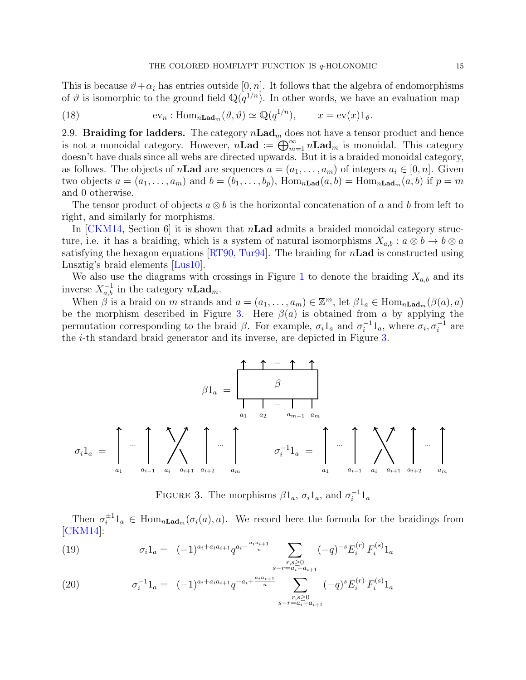This is because  $\vartheta + \alpha_i$  has entries outside [0, n]. It follows that the algebra of endomorphisms of  $\vartheta$  is isomorphic to the ground field  $\mathbb{Q}(q^{1/n})$ . In other words, we have an evaluation map

<span id="page-14-4"></span>(18) 
$$
\text{ev}_n: \text{Hom}_{n\text{Lad}_m}(\vartheta, \vartheta) \simeq \mathbb{Q}(q^{1/n}), \qquad x = \text{ev}(x)1_\vartheta.
$$

<span id="page-14-0"></span>2.9. Braiding for ladders. The category  $n\text{Lad}_m$  does not have a tensor product and hence is not a monoidal category. However,  $n\bar{\mathbf{L}}\mathbf{ad} := \bigoplus_{m=1}^{\infty} n\mathbf{L}\mathbf{ad}_m$  is monoidal. This category doesn't have duals since all webs are directed upwards. But it is a braided monoidal category, as follows. The objects of n**Lad** are sequences  $a = (a_1, \ldots, a_m)$  of integers  $a_i \in [0, n]$ . Given two objects  $a = (a_1, \ldots, a_m)$  and  $b = (b_1, \ldots, b_p)$ ,  $\text{Hom}_{n\text{Lad}}(a, b) = \text{Hom}_{n\text{Lad}_m}(a, b)$  if  $p = m$ and 0 otherwise.

The tensor product of objects  $a \otimes b$  is the horizontal concatenation of a and b from left to right, and similarly for morphisms.

In  $\lfloor CKM14,$  Section 6 it is shown that n**Lad** admits a braided monoidal category structure, i.e. it has a braiding, which is a system of natural isomorphisms  $X_{a,b}: a \otimes b \to b \otimes a$ satisfying the hexagon equations  $\left[\text{RT90}, \text{Tur94}\right]$ . The braiding for n**Lad** is constructed using Lusztig's braid elements [\[Lus10\]](#page-38-15).

We also use the diagrams with crossings in Figure [1](#page-11-1) to denote the braiding  $X_{a,b}$  and its inverse  $X_{a,b}^{-1}$  in the category  $n\text{Lad}_m$ .

When  $\beta$  is a braid on m strands and  $a = (a_1, \ldots, a_m) \in \mathbb{Z}^m$ , let  $\beta 1_a \in \text{Hom}_{n\text{Lad}_m}(\beta(a), a)$ be the morphism described in Figure [3.](#page-14-1) Here  $\beta(a)$  is obtained from a by applying the permutation corresponding to the braid  $\beta$ . For example,  $\sigma_i 1_a$  and  $\sigma_i^{-1}$  $i^{-1}1_a$ , where  $\sigma_i, \sigma_i^{-1}$  are the i-th standard braid generator and its inverse, are depicted in Figure [3.](#page-14-1)

$$
\beta1_{a} = \begin{bmatrix} 1 & 1 & \cdots & 1 \\ \vdots & \vdots & \vdots & \vdots \\ 0 & 1_{a} & \cdots & 1 \\ a_{1} & a_{i-1} & a_{i} & a_{i+1} & a_{i+2} \end{bmatrix} \cdots \begin{bmatrix} 1 & 1 & \cdots & 1 \\ \vdots & \vdots & \vdots & \vdots \\ 0 & 0 & 1 & a_{m-1} & a_{m} \\ \vdots & \vdots & \vdots & \vdots & \vdots \\ 0 & 0 & 1 & a_{m-1} & a_{i} & a_{i+1} & a_{i+2} \end{bmatrix} \cdots \begin{bmatrix} 1 & 1 & \cdots & 1 \\ \vdots & \vdots & \vdots & \vdots & \vdots \\ 0 & 0 & 1 & \cdots & 1 \\ 0 & 0 & 0 & 1 & \cdots & a_{m-1} & a_{m} \end{bmatrix}
$$

<span id="page-14-1"></span>FIGURE 3. The morphisms  $\beta 1_a$ ,  $\sigma_i 1_a$ , and  $\sigma_i^{-1}$  $i^{-1}1_a$ 

Then  $\sigma_i^{\pm 1}$  $i^{\pm 1}$ l<sub>a</sub>  $\in$  Hom<sub>nLad<sub>m</sub>( $\sigma_i(a), a$ ). We record here the formula for the braidings from</sub> [\[CKM14\]](#page-37-18):

<span id="page-14-2"></span>(19) 
$$
\sigma_i 1_a = (-1)^{a_i + a_i a_{i+1}} q^{a_i - \frac{a_i a_{i+1}}{n}} \sum_{\substack{r,s \geq 0 \\ s - r = a_i - a_{i+1}}} (-q)^{-s} E_i^{(r)} F_i^{(s)} 1_a
$$

<span id="page-14-3"></span>(20) 
$$
\sigma_i^{-1} 1_a = (-1)^{a_i + a_i a_{i+1}} q^{-a_i + \frac{a_i a_{i+1}}{n}} \sum_{\substack{r,s \geq 0 \\ s - r = a_i - a_{i+1}}} (-q)^s E_i^{(r)} F_i^{(s)} 1_a
$$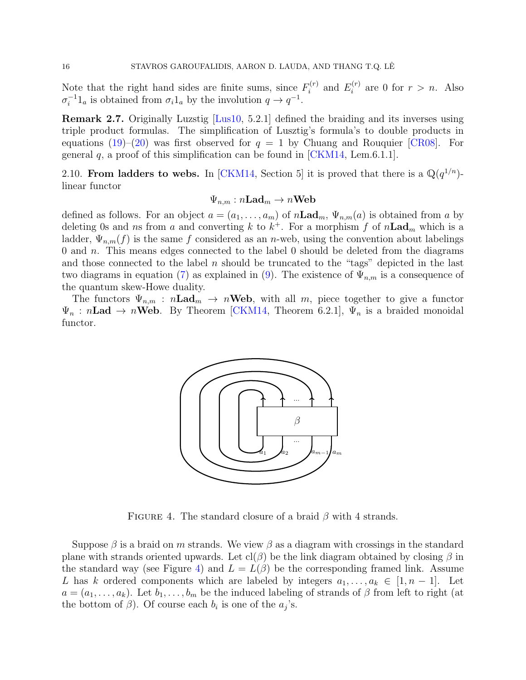Note that the right hand sides are finite sums, since  $F_i^{(r)}$  $E_i^{(r)}$  and  $E_i^{(r)}$  $i^{(r)}$  are 0 for  $r > n$ . Also  $\sigma_i^{-1}$  $i^{-1}1_a$  is obtained from  $\sigma_i 1_a$  by the involution  $q \to q^{-1}$ .

Remark 2.7. Originally Luzstig [\[Lus10,](#page-38-15) 5.2.1] defined the braiding and its inverses using triple product formulas. The simplification of Lusztig's formula's to double products in equations [\(19\)](#page-14-2)–[\(20\)](#page-14-3) was first observed for  $q = 1$  by Chuang and Rouquier [\[CR08\]](#page-37-23). For general  $q$ , a proof of this simplification can be found in [\[CKM14,](#page-37-18) Lem.6.1.1].

<span id="page-15-0"></span>2.10. From ladders to webs. In [\[CKM14,](#page-37-18) Section 5] it is proved that there is a  $\mathbb{Q}(q^{1/n})$ linear functor

$$
\Psi_{n,m}:n\mathbf{Lad}_{m}\rightarrow n\mathbf{Web}
$$

defined as follows. For an object  $a = (a_1, \ldots, a_m)$  of  $n\text{Lad}_m$ ,  $\Psi_{n,m}(a)$  is obtained from a by deleting 0s and ns from a and converting k to  $k^+$ . For a morphism f of  $n\text{Lad}_m$  which is a ladder,  $\Psi_{n,m}(f)$  is the same f considered as an n-web, using the convention about labelings 0 and n. This means edges connected to the label 0 should be deleted from the diagrams and those connected to the label n should be truncated to the "tags" depicted in the last two diagrams in equation [\(7\)](#page-9-1) as explained in [\(9\)](#page-10-1). The existence of  $\Psi_{n,m}$  is a consequence of the quantum skew-Howe duality.

The functors  $\Psi_{n,m}$ :  $n\text{Lad}_m \to n\text{Web}$ , with all m, piece together to give a functor  $\Psi_n$ : n**Lad**  $\rightarrow$  n**Web**. By Theorem [\[CKM14,](#page-37-18) Theorem 6.2.1],  $\Psi_n$  is a braided monoidal functor.



<span id="page-15-1"></span>FIGURE 4. The standard closure of a braid  $\beta$  with 4 strands.

Suppose  $\beta$  is a braid on m strands. We view  $\beta$  as a diagram with crossings in the standard plane with strands oriented upwards. Let  $cl(\beta)$  be the link diagram obtained by closing  $\beta$  in the standard way (see Figure [4\)](#page-15-1) and  $L = L(\beta)$  be the corresponding framed link. Assume L has k ordered components which are labeled by integers  $a_1, \ldots, a_k \in [1, n-1]$ . Let  $a = (a_1, \ldots, a_k)$ . Let  $b_1, \ldots, b_m$  be the induced labeling of strands of  $\beta$  from left to right (at the bottom of  $\beta$ ). Of course each  $b_i$  is one of the  $a_j$ 's.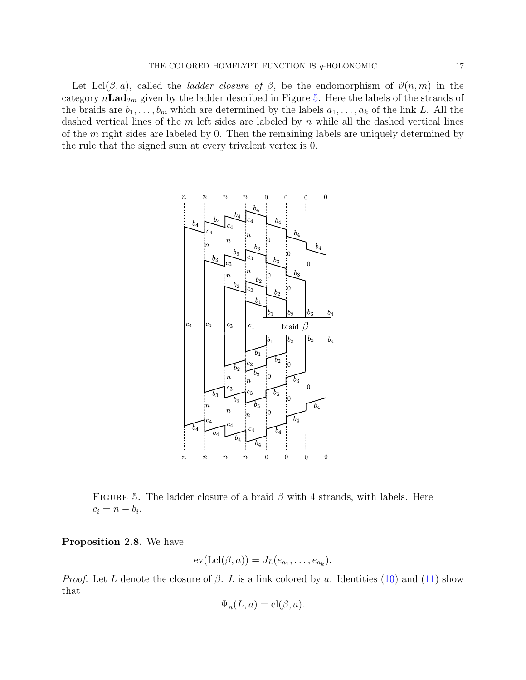Let Lcl( $\beta$ , a), called the *ladder closure of*  $\beta$ , be the endomorphism of  $\vartheta(n,m)$  in the category  $n\text{Lad}_{2m}$  given by the ladder described in Figure [5.](#page-16-0) Here the labels of the strands of the braids are  $b_1, \ldots, b_m$  which are determined by the labels  $a_1, \ldots, a_k$  of the link L. All the dashed vertical lines of the  $m$  left sides are labeled by  $n$  while all the dashed vertical lines of the  $m$  right sides are labeled by 0. Then the remaining labels are uniquely determined by the rule that the signed sum at every trivalent vertex is 0.



<span id="page-16-0"></span>FIGURE 5. The ladder closure of a braid  $\beta$  with 4 strands, with labels. Here  $c_i = n - b_i.$ 

<span id="page-16-1"></span>Proposition 2.8. We have

$$
ev(\mathrm{Lcl}(\beta,a))=J_L(e_{a_1},\ldots,e_{a_k}).
$$

*Proof.* Let L denote the closure of  $\beta$ . L is a link colored by a. Identities [\(10\)](#page-10-2) and [\(11\)](#page-10-3) show that

$$
\Psi_n(L, a) = \text{cl}(\beta, a).
$$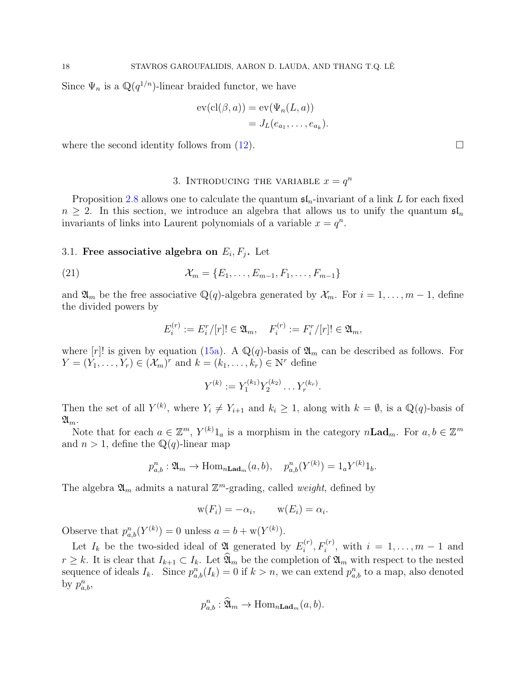Since  $\Psi_n$  is a  $\mathbb{Q}(q^{1/n})$ -linear braided functor, we have

$$
ev(cl(\beta, a)) = ev(\Psi_n(L, a))
$$
  
=  $J_L(e_{a_1}, \dots, e_{a_k}).$ 

where the second identity follows from  $(12)$ .

# 3. INTRODUCING THE VARIABLE  $x = q^n$

<span id="page-17-0"></span>Proposition [2.8](#page-16-1) allows one to calculate the quantum  $\mathfrak{sl}_n$ -invariant of a link L for each fixed  $n \geq 2$ . In this section, we introduce an algebra that allows us to unify the quantum  $\mathfrak{sl}_n$ invariants of links into Laurent polynomials of a variable  $x = q^n$ .

# <span id="page-17-1"></span>3.1. Free associative algebra on  $E_i, F_j$ . Let

(21) 
$$
\mathcal{X}_m = \{E_1, \ldots, E_{m-1}, F_1, \ldots, F_{m-1}\}
$$

and  $\mathfrak{A}_m$  be the free associative  $\mathbb{Q}(q)$ -algebra generated by  $\mathcal{X}_m$ . For  $i = 1, \ldots, m-1$ , define the divided powers by

<span id="page-17-3"></span>
$$
E_i^{(r)} := E_i^r/[r]! \in \mathfrak{A}_m, \quad F_i^{(r)} := F_i^r/[r]! \in \mathfrak{A}_m,
$$

where  $[r]$ ! is given by equation [\(15a\)](#page-13-4). A  $\mathbb{Q}(q)$ -basis of  $\mathfrak{A}_m$  can be described as follows. For  $Y = (Y_1, \ldots, Y_r) \in (\mathcal{X}_m)^r$  and  $k = (k_1, \ldots, k_r) \in \mathbb{N}^r$  define

$$
Y^{(k)} := Y_1^{(k_1)} Y_2^{(k_2)} \dots Y_r^{(k_r)}.
$$

Then the set of all  $Y^{(k)}$ , where  $Y_i \neq Y_{i+1}$  and  $k_i \geq 1$ , along with  $k = \emptyset$ , is a  $\mathbb{Q}(q)$ -basis of  $\mathfrak{A}_m$ .

Note that for each  $a \in \mathbb{Z}^m$ ,  $Y^{(k)}1_a$  is a morphism in the category  $n\text{Lad}_m$ . For  $a, b \in \mathbb{Z}^m$ and  $n > 1$ , define the Q(q)-linear map

$$
p_{a,b}^n : \mathfrak{A}_m \to \text{Hom}_{n\text{Lad}_m}(a,b), \quad p_{a,b}^n(Y^{(k)}) = 1_a Y^{(k)} 1_b.
$$

The algebra  $\mathfrak{A}_m$  admits a natural  $\mathbb{Z}^m$ -grading, called *weight*, defined by

$$
w(F_i) = -\alpha_i, \qquad w(E_i) = \alpha_i.
$$

Observe that  $p_{a,b}^n(Y^{(k)}) = 0$  unless  $a = b + w(Y^{(k)})$ .

Let  $I_k$  be the two-sided ideal of 24 generated by  $E_i^{(r)}$  $i_i^{(r)}, F_i^{(r)},$  with  $i = 1, ..., m - 1$  and  $r \geq k$ . It is clear that  $I_{k+1} \subset I_k$ . Let  $\widehat{\mathfrak{A}}_m$  be the completion of  $\mathfrak{A}_m$  with respect to the nested sequence of ideals  $I_k$ . Since  $p_{a,b}^n(I_k) = 0$  if  $k > n$ , we can extend  $p_{a,b}^n$  to a map, also denoted by  $p_{a,b}^n$ ,

<span id="page-17-2"></span>
$$
p_{a,b}^n : \widehat{\mathfrak{A}}_m \to \text{Hom}_{n\text{Lad}_m}(a,b).
$$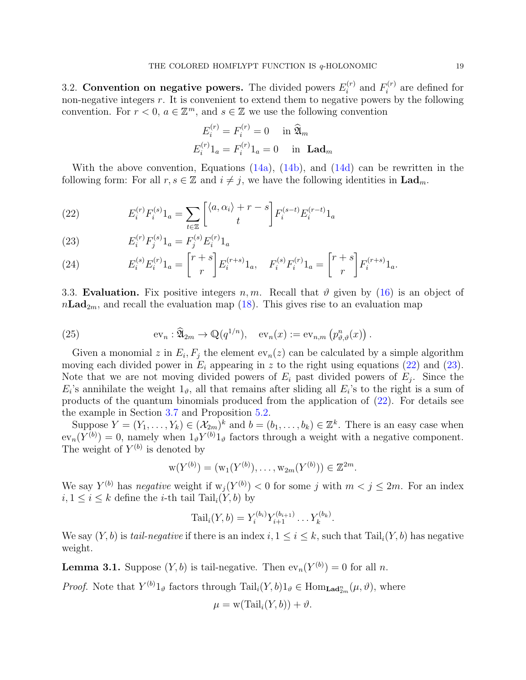<span id="page-18-0"></span>3.2. Convention on negative powers. The divided powers  $E_i^{(r)}$  $i^{(r)}$  and  $F_i^{(r)}$  $i^{(r)}$  are defined for non-negative integers  $r$ . It is convenient to extend them to negative powers by the following convention. For  $r < 0$ ,  $a \in \mathbb{Z}^m$ , and  $s \in \mathbb{Z}$  we use the following convention

$$
E_i^{(r)} = F_i^{(r)} = 0 \quad \text{in } \widehat{\mathfrak{A}}_m
$$

$$
E_i^{(r)} \mathbf{1}_a = F_i^{(r)} \mathbf{1}_a = 0 \quad \text{in } \mathbf{Lad}_m
$$

With the above convention, Equations [\(14a\)](#page-13-1), [\(14b\)](#page-13-5), and [\(14d\)](#page-13-2) can be rewritten in the following form: For all  $r, s \in \mathbb{Z}$  and  $i \neq j$ , we have the following identities in  $\text{Lad}_m$ .

(22) 
$$
E_i^{(r)} F_i^{(s)} 1_a = \sum_{t \in \mathbb{Z}} \left[ \begin{matrix} \langle a, \alpha_i \rangle + r - s \\ t \end{matrix} \right] F_i^{(s-t)} E_i^{(r-t)} 1_a
$$

<span id="page-18-2"></span>(23) 
$$
E_i^{(r)} F_j^{(s)} 1_a = F_j^{(s)} E_i^{(r)} 1_a
$$

<span id="page-18-3"></span>(24) 
$$
E_i^{(s)} E_i^{(r)} 1_a = \begin{bmatrix} r+s \\ r \end{bmatrix} E_i^{(r+s)} 1_a, \quad F_i^{(s)} F_i^{(r)} 1_a = \begin{bmatrix} r+s \\ r \end{bmatrix} F_i^{(r+s)} 1_a.
$$

<span id="page-18-1"></span>3.3. Evaluation. Fix positive integers n, m. Recall that  $\vartheta$  given by [\(16\)](#page-13-6) is an object of  $n\text{Lad}_{2m}$ , and recall the evaluation map [\(18\)](#page-14-4). This gives rise to an evaluation map

(25) 
$$
\operatorname{ev}_n : \widehat{\mathfrak{A}}_{2m} \to \mathbb{Q}(q^{1/n}), \quad \operatorname{ev}_n(x) := \operatorname{ev}_{n,m} (p_{\vartheta,\vartheta}^n(x)).
$$

Given a monomial z in  $E_i, F_j$  the element  $ev_n(z)$  can be calculated by a simple algorithm moving each divided power in  $E_i$  appearing in z to the right using equations [\(22\)](#page-17-2) and [\(23\)](#page-18-2). Note that we are not moving divided powers of  $E_i$  past divided powers of  $E_j$ . Since the  $E_i$ 's annihilate the weight  $1_{\vartheta}$ , all that remains after sliding all  $E_i$ 's to the right is a sum of products of the quantum binomials produced from the application of  $(22)$ . For details see the example in Section [3.7](#page-22-0) and Proposition [5.2.](#page-27-0)

Suppose  $Y = (Y_1, \ldots, Y_k) \in (\mathcal{X}_{2m})^k$  and  $b = (b_1, \ldots, b_k) \in \mathbb{Z}^k$ . There is an easy case when  $ev_n(Y^{(b)}) = 0$ , namely when  $1_{\vartheta} Y^{(b)} 1_{\vartheta}$  factors through a weight with a negative component. The weight of  $Y^{(b)}$  is denoted by

$$
w(Y^{(b)}) = (w_1(Y^{(b)}), \ldots, w_{2m}(Y^{(b)})) \in \mathbb{Z}^{2m}
$$
.

We say  $Y^{(b)}$  has negative weight if  $w_j(Y^{(b)}) < 0$  for some j with  $m < j \leq 2m$ . For an index  $i, 1 \leq i \leq k$  define the *i*-th tail Tail<sub>i</sub> $(Y, b)$  by

Tail<sub>i</sub>
$$
(Y, b) = Y_i^{(b_i)} Y_{i+1}^{(b_{i+1})} \dots Y_k^{(b_k)}
$$
.

We say  $(Y, b)$  is tail-negative if there is an index  $i, 1 \le i \le k$ , such that  $\text{Tail}_i(Y, b)$  has negative weight.

<span id="page-18-4"></span>**Lemma 3.1.** Suppose  $(Y, b)$  is tail-negative. Then  $ev_n(Y^{(b)}) = 0$  for all n.

*Proof.* Note that  $Y^{(b)}1_{\vartheta}$  factors through  $\text{Tail}_i(Y, b)1_{\vartheta} \in \text{Hom}_{\text{Lad}_{2m}^n}(\mu, \vartheta)$ , where

$$
\mu = \mathrm{w}(\mathrm{Tail}_i(Y,b)) + \vartheta.
$$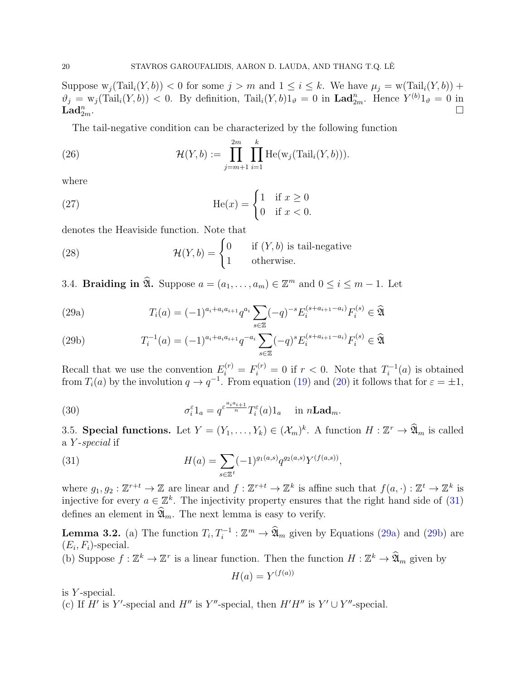Suppose  $w_j(Tail_i(Y, b)) < 0$  for some  $j > m$  and  $1 \le i \le k$ . We have  $\mu_j = w(Tail_i(Y, b)) +$  $\vartheta_j = w_j(\text{Tail}_i(Y, b)) < 0$ . By definition,  $\text{Tail}_i(Y, b)1_{\vartheta} = 0$  in  $\text{Land}_{2m}^n$ . Hence  $Y^{(b)}1_{\vartheta} = 0$  in  $\mathbf{Lad}_{2m}^{n}$ .  $\sum_{2m}$ .

<span id="page-19-7"></span>The tail-negative condition can be characterized by the following function

(26) 
$$
\mathcal{H}(Y,b) := \prod_{j=m+1}^{2m} \prod_{i=1}^{k} \text{He}(\text{w}_j(\text{Tail}_i(Y,b))).
$$

where

(27) 
$$
\operatorname{He}(x) = \begin{cases} 1 & \text{if } x \ge 0 \\ 0 & \text{if } x < 0. \end{cases}
$$

denotes the Heaviside function. Note that

(28) 
$$
\mathcal{H}(Y,b) = \begin{cases} 0 & \text{if } (Y,b) \text{ is tail-negative} \\ 1 & \text{otherwise.} \end{cases}
$$

<span id="page-19-0"></span>3.4. **Braiding in**  $\mathfrak{A}$ **.** Suppose  $a = (a_1, \ldots, a_m) \in \mathbb{Z}^m$  and  $0 \le i \le m - 1$ . Let

<span id="page-19-2"></span>(29a) 
$$
T_i(a) = (-1)^{a_i + a_i a_{i+1}} q^{a_i} \sum_{s \in \mathbb{Z}} (-q)^{-s} E_i^{(s + a_{i+1} - a_i)} F_i^{(s)} \in \widehat{\mathfrak{A}}
$$

<span id="page-19-3"></span>(29b) 
$$
T_i^{-1}(a) = (-1)^{a_i + a_i a_{i+1}} q^{-a_i} \sum_{s \in \mathbb{Z}} (-q)^s E_i^{(s + a_{i+1} - a_i)} F_i^{(s)} \in \widehat{\mathfrak{A}}
$$

Recall that we use the convention  $E_i^{(r)} = F_i^{(r)} = 0$  if  $r < 0$ . Note that  $T_i^{-1}$  $i^{-1}(a)$  is obtained from  $T_i(a)$  by the involution  $q \to q^{-1}$ . From equation [\(19\)](#page-14-2) and [\(20\)](#page-14-3) it follows that for  $\varepsilon = \pm 1$ ,

<span id="page-19-6"></span>(30) 
$$
\sigma_i^{\varepsilon} 1_a = q^{\varepsilon \frac{a_i a_{i+1}}{n}} T_i^{\varepsilon}(a) 1_a \quad \text{in } n \mathbf{Lad}_m.
$$

<span id="page-19-1"></span>3.5. **Special functions.** Let  $Y = (Y_1, \ldots, Y_k) \in (\mathcal{X}_m)^k$ . A function  $H : \mathbb{Z}^r \to \mathfrak{A}_m$  is called a Y -special if

<span id="page-19-4"></span>(31) 
$$
H(a) = \sum_{s \in \mathbb{Z}^t} (-1)^{g_1(a,s)} q^{g_2(a,s)} Y^{(f(a,s))},
$$

where  $g_1, g_2: \mathbb{Z}^{r+t} \to \mathbb{Z}$  are linear and  $f: \mathbb{Z}^{r+t} \to \mathbb{Z}^k$  is affine such that  $f(a, \cdot): \mathbb{Z}^t \to \mathbb{Z}^k$  is injective for every  $a \in \mathbb{Z}^k$ . The injectivity property ensures that the right hand side of [\(31\)](#page-19-4) defines an element in  $\mathfrak{A}_m$ . The next lemma is easy to verify.

<span id="page-19-5"></span>**Lemma 3.2.** (a) The function  $T_i, T_i^{-1}: \mathbb{Z}^m \to \widehat{\mathfrak{A}}_m$  given by Equations [\(29a\)](#page-19-2) and [\(29b\)](#page-19-3) are  $(E_i, F_i)$ -special.

(b) Suppose  $f : \mathbb{Z}^k \to \mathbb{Z}^r$  is a linear function. Then the function  $H : \mathbb{Z}^k \to \mathfrak{A}_m$  given by

$$
H(a) = Y^{(f(a))}
$$

is Y -special.

(c) If H' is Y'-special and H'' is Y''-special, then  $H'H''$  is  $Y' \cup Y''$ -special.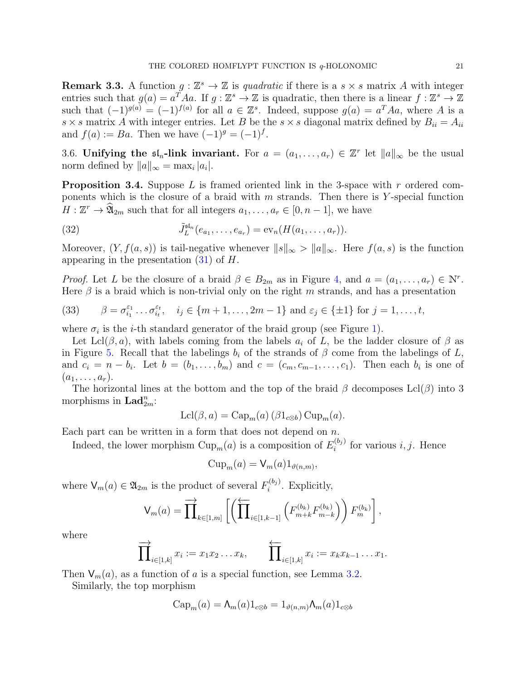**Remark 3.3.** A function  $g: \mathbb{Z}^s \to \mathbb{Z}$  is quadratic if there is a  $s \times s$  matrix A with integer entries such that  $g(a) = a^T A a$ . If  $g: \mathbb{Z}^s \to \mathbb{Z}$  is quadratic, then there is a linear  $f: \mathbb{Z}^s \to \mathbb{Z}$ such that  $(-1)^{g(a)} = (-1)^{f(a)}$  for all  $a \in \mathbb{Z}^s$ . Indeed, suppose  $g(a) = a^T A a$ , where A is a  $s \times s$  matrix A with integer entries. Let B be the  $s \times s$  diagonal matrix defined by  $B_{ii} = A_{ii}$ and  $f(a) := Ba$ . Then we have  $(-1)^{g} = (-1)^{f}$ .

<span id="page-20-0"></span>3.6. Unifying the  $\mathfrak{sl}_n$ -link invariant. For  $a = (a_1, \ldots, a_r) \in \mathbb{Z}^r$  let  $||a||_{\infty}$  be the usual norm defined by  $||a||_{\infty} = \max_i |a_i|$ .

<span id="page-20-4"></span>**Proposition 3.4.** Suppose L is framed oriented link in the 3-space with r ordered components which is the closure of a braid with  $m$  strands. Then there is Y-special function  $H: \mathbb{Z}^r \to \mathfrak{A}_{2m}$  such that for all integers  $a_1, \ldots, a_r \in [0, n-1]$ , we have

<span id="page-20-2"></span>(32) 
$$
\tilde{J}_L^{\mathfrak{sl}_n}(e_{a_1},\ldots,e_{a_r})=\text{ev}_n(H(a_1,\ldots,a_r)).
$$

Moreover,  $(Y, f(a, s))$  is tail-negative whenever  $||s||_{\infty} > ||a||_{\infty}$ . Here  $f(a, s)$  is the function appearing in the presentation  $(31)$  of H.

*Proof.* Let L be the closure of a braid  $\beta \in B_{2m}$  as in Figure [4,](#page-15-1) and  $a = (a_1, \ldots, a_r) \in \mathbb{N}^r$ . Here  $\beta$  is a braid which is non-trivial only on the right m strands, and has a presentation

<span id="page-20-1"></span>(33) 
$$
\beta = \sigma_{i_1}^{\varepsilon_1} \dots \sigma_{i_t}^{\varepsilon_t}, \quad i_j \in \{m+1, \dots, 2m-1\} \text{ and } \varepsilon_j \in \{\pm 1\} \text{ for } j = 1, \dots, t,
$$

where  $\sigma_i$  is the *i*-th standard generator of the braid group (see Figure [1\)](#page-11-1).

Let Lcl( $\beta$ , a), with labels coming from the labels  $a_i$  of L, be the ladder closure of  $\beta$  as in Figure [5.](#page-16-0) Recall that the labelings  $b_i$  of the strands of  $\beta$  come from the labelings of L, and  $c_i = n - b_i$ . Let  $b = (b_1, \ldots, b_m)$  and  $c = (c_m, c_{m-1}, \ldots, c_1)$ . Then each  $b_i$  is one of  $(a_1, \ldots, a_r).$ 

The horizontal lines at the bottom and the top of the braid  $\beta$  decomposes Lcl( $\beta$ ) into 3 morphisms in  $\text{Lad}_{2m}^n$ :

$$
Lcl(\beta, a) = Cap_m(a) (\beta 1_{c\otimes b}) Cup_m(a).
$$

Each part can be written in a form that does not depend on  $n$ .

Indeed, the lower morphism  $\text{Cup}_m(a)$  is a composition of  $E_i^{(b_j)}$  $i^{(0j)}$  for various *i*, *j*. Hence

<span id="page-20-3"></span>
$$
Cup_m(a) = V_m(a)1_{\vartheta(n,m)},
$$

where  $\mathsf{V}_m(a) \in \mathfrak{A}_{2m}$  is the product of several  $F_i^{(b_j)}$  $i^{(0j)}$ . Explicitly,

$$
\mathsf{V}_{m}(a) = \prod_{k \in [1,m]} \left[ \left( \prod_{i \in [1,k-1]} \left( F_{m+k}^{(b_k)} F_{m-k}^{(b_k)} \right) F_m^{(b_k)} \right],
$$

where

$$
\prod_{i\in[1,k]}^{\longrightarrow} x_i := x_1x_2\ldots x_k, \qquad \prod_{i\in[1,k]}^{\longleftarrow} x_i := x_kx_{k-1}\ldots x_1.
$$

Then  $V_m(a)$ , as a function of a is a special function, see Lemma [3.2.](#page-19-5)

Similarly, the top morphism

$$
\mathrm{Cap}_m(a) = \Lambda_m(a)1_{c\otimes b} = 1_{\vartheta(n,m)}\Lambda_m(a)1_{c\otimes b}
$$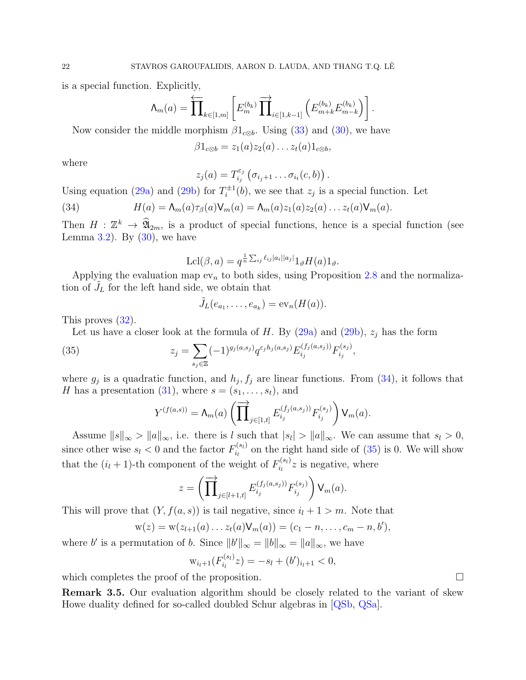is a special function. Explicitly,

$$
\Lambda_m(a)=\overleftarrow{\prod}_{k\in[1,m]}\left[E^{(b_k)}_m\overrightarrow{\prod}_{i\in[1,k-1]}\left(E^{(b_k)}_{m+k}E^{(b_k)}_{m-k}\right)\right].
$$

Now consider the middle morphism  $\beta1_{\text{c}\otimes b}$ . Using [\(33\)](#page-20-1) and [\(30\)](#page-19-6), we have

$$
\beta 1_{c\otimes b} = z_1(a) z_2(a) \dots z_t(a) 1_{c\otimes b},
$$

where

$$
z_j(a) = T_{i_j}^{\varepsilon_j}(\sigma_{i_j+1} \ldots \sigma_{i_t}(c,b)).
$$

Using equation [\(29a\)](#page-19-2) and [\(29b\)](#page-19-3) for  $T_i^{\pm 1}$  $\mathcal{I}_i^{\pm 1}(b)$ , we see that  $z_j$  is a special function. Let

(34) 
$$
H(a) = \Lambda_m(a)\tau_\beta(a)\mathsf{V}_m(a) = \Lambda_m(a)z_1(a)z_2(a)\ldots z_t(a)\mathsf{V}_m(a).
$$

Then  $H : \mathbb{Z}^k \to \mathfrak{A}_{2m}$ , is a product of special functions, hence is a special function (see Lemma  $3.2$ ). By  $(30)$ , we have

$$
Lcl(\beta, a) = q^{\frac{1}{n} \sum_{ij} \ell_{ij} |a_i| |a_j|} 1_{\vartheta} H(a) 1_{\vartheta}.
$$

Applying the evaluation map  $ev_n$  to both sides, using Proposition [2.8](#page-16-1) and the normalization of  $J_L$  for the left hand side, we obtain that

$$
\tilde{J}_L(e_{a_1},\ldots,e_{a_k})=\mathrm{ev}_n(H(a)).
$$

This proves [\(32\)](#page-20-2).

Let us have a closer look at the formula of H. By  $(29a)$  and  $(29b)$ ,  $z_j$  has the form

<span id="page-21-0"></span>(35) 
$$
z_j = \sum_{s_j \in \mathbb{Z}} (-1)^{g_j(a,s_j)} q^{\varepsilon_j h_j(a,s_j)} E_{i_j}^{(f_j(a,s_j))} F_{i_j}^{(s_j)},
$$

where  $g_j$  is a quadratic function, and  $h_j, f_j$  are linear functions. From [\(34\)](#page-20-3), it follows that H has a presentation [\(31\)](#page-19-4), where  $s = (s_1, \ldots, s_t)$ , and

$$
Y^{(f(a,s))} = \Lambda_m(a) \left( \prod_{j \in [1,t]} \overrightarrow{E}_{i_j}^{(f_j(a,s_j))} F_{i_j}^{(s_j)} \right) \mathsf{V}_m(a).
$$

Assume  $||s||_{\infty} > ||a||_{\infty}$ , i.e. there is l such that  $|s<sub>l</sub>| > ||a||_{\infty}$ . We can assume that  $s<sub>l</sub> > 0$ , since other wise  $s_l < 0$  and the factor  $F_{i_l}^{(s_l)}$  $\sum_{i_l}^{(s_l)}$  on the right hand side of  $(35)$  is 0. We will show that the  $(i_l + 1)$ -th component of the weight of  $F_{i_l}^{(s_l)}$  $i_i^{(s_i)}z$  is negative, where

$$
z = \left(\prod_{j\in[l+1,t]} \prod_{j\in[l+1,t]} f_{i_j}^{(f_j(a,s_j))} F_{i_j}^{(s_j)}\right) \mathsf{V}_m(a).
$$

This will prove that  $(Y, f(a, s))$  is tail negative, since  $i_l + 1 > m$ . Note that

$$
w(z) = w(z_{l+1}(a) \dots z_t(a)V_m(a)) = (c_1 - n, \dots, c_m - n, b'),
$$

where b' is a permutation of b. Since  $||b'||_{\infty} = ||b||_{\infty} = ||a||_{\infty}$ , we have

$$
w_{i_l+1}(F_{i_l}^{(s_l)}z) = -s_l + (b')_{i_l+1} < 0,
$$

which completes the proof of the proposition.  $\Box$ 

Remark 3.5. Our evaluation algorithm should be closely related to the variant of skew Howe duality defined for so-called doubled Schur algebras in [\[QSb,](#page-38-23) [QSa\]](#page-38-24).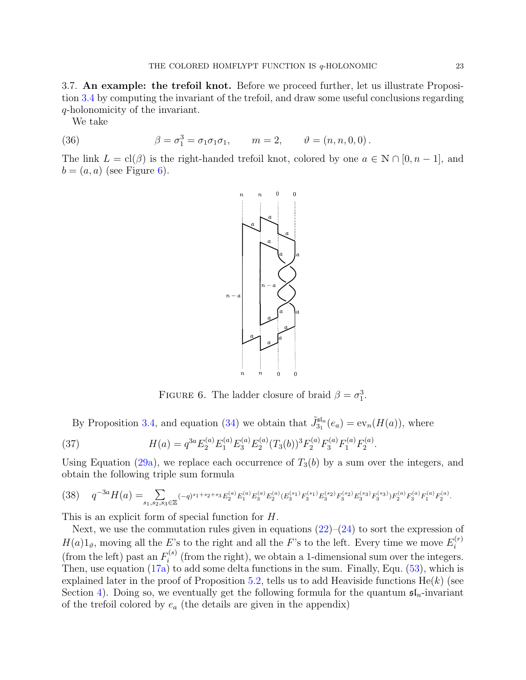<span id="page-22-0"></span>3.7. An example: the trefoil knot. Before we proceed further, let us illustrate Proposition [3.4](#page-20-4) by computing the invariant of the trefoil, and draw some useful conclusions regarding q-holonomicity of the invariant.

<span id="page-22-2"></span>We take

(36) 
$$
\beta = \sigma_1^3 = \sigma_1 \sigma_1 \sigma_1, \qquad m = 2, \qquad \vartheta = (n, n, 0, 0).
$$

The link  $L = \text{cl}(\beta)$  is the right-handed trefoil knot, colored by one  $a \in \mathbb{N} \cap [0, n-1]$ , and  $b = (a, a)$  (see Figure [6\)](#page-22-1).



<span id="page-22-3"></span><span id="page-22-1"></span>FIGURE 6. The ladder closure of braid  $\beta = \sigma_1^3$ .

By Proposition [3.4,](#page-20-4) and equation [\(34\)](#page-20-3) we obtain that  $\tilde{J}_{3_1}^{\mathfrak{sl}_n}(e_a) = \text{ev}_n(H(a))$ , where

(37) 
$$
H(a) = q^{3a} E_2^{(a)} E_1^{(a)} E_3^{(a)} E_2^{(a)} (T_3(b))^3 F_2^{(a)} F_3^{(a)} F_1^{(a)} F_2^{(a)}.
$$

Using Equation [\(29a\)](#page-19-2), we replace each occurrence of  $T_3(b)$  by a sum over the integers, and obtain the following triple sum formula

<span id="page-22-4"></span>
$$
(38) \qquad q^{-3a}H(a) = \sum_{s_1, s_2, s_3 \in \mathbb{Z}} (-q)^{s_1+s_2+s_3} E_2^{(a)} E_1^{(a)} E_3^{(a)} E_2^{(a)} (E_3^{(s_1)} F_3^{(s_1)} E_3^{(s_2)} F_3^{(s_2)} E_3^{(s_3)} F_3^{(s_3)} F_2^{(a)} F_3^{(a)} F_1^{(a)} F_2^{(a)}.
$$

This is an explicit form of special function for H.

Next, we use the commutation rules given in equations  $(22)-(24)$  $(22)-(24)$  to sort the expression of  $H(a)1_{\vartheta}$ , moving all the E's to the right and all the F's to the left. Every time we move  $E_i^{(r)}$ i (from the left) past an  $F_i^{(s)}$  $i^{(s)}$  (from the right), we obtain a 1-dimensional sum over the integers. Then, use equation  $(17a)$  to add some delta functions in the sum. Finally, Equ.  $(53)$ , which is explained later in the proof of Proposition [5.2,](#page-27-0) tells us to add Heaviside functions  $He(k)$  (see Section [4\)](#page-23-0). Doing so, we eventually get the following formula for the quantum  $\mathfrak{sl}_n$ -invariant of the trefoil colored by  $e_a$  (the details are given in the appendix)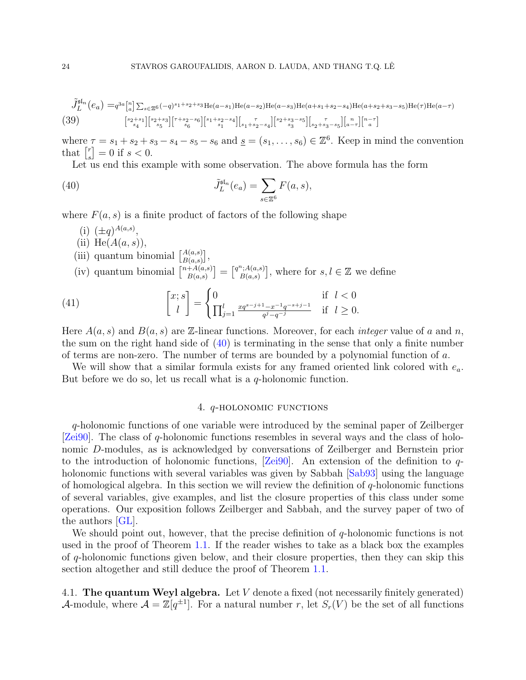<span id="page-23-2"></span>
$$
\tilde{J}_{L}^{\mathsf{sf}_n}(e_a) = q^{3a} \begin{bmatrix} n \\ a \end{bmatrix} \sum_{s \in \mathbb{Z}^6} (-q)^{s_1+s_2+s_3} \text{He}(a-s_1) \text{He}(a-s_2) \text{He}(a-s_3) \text{He}(a+s_1+s_2-s_4) \text{He}(a+s_2+s_3-s_5) \text{He}(\tau) \text{He}(a-\tau)
$$
\n
$$
(39) \qquad \begin{bmatrix} s_{2+s_1} \\ s_{4} \end{bmatrix} \begin{bmatrix} s_{2+s_3} \\ s_5 \end{bmatrix} \begin{bmatrix} r+s_2-s_6 \\ s_1 \end{bmatrix} \begin{bmatrix} s_1+s_2-s_4 \\ s_1 \end{bmatrix} \begin{bmatrix} r \\ s_1+s_2-s_4 \end{bmatrix} \begin{bmatrix} s_{2+s_3-s_5} \\ s_3 \end{bmatrix} \begin{bmatrix} r \\ s_{2+s_3-s_5} \end{bmatrix} \begin{bmatrix} n \\ a-r \end{bmatrix} \begin{bmatrix} n-r \\ a \end{bmatrix}
$$

where  $\tau = s_1 + s_2 + s_3 - s_4 - s_5 - s_6$  and  $\underline{s} = (s_1, \ldots, s_6) \in \mathbb{Z}^6$ . Keep in mind the convention that  $\left[\begin{smallmatrix} r \\ s \end{smallmatrix}\right]$  $_{s}^{r}$ ] = 0 if  $s < 0$ .

Let us end this example with some observation. The above formula has the form

(40) 
$$
\tilde{J}_L^{\mathrm{sl}_n}(e_a) = \sum_{s \in \mathbb{Z}^6} F(a, s),
$$

where  $F(a, s)$  is a finite product of factors of the following shape

- <span id="page-23-3"></span>(i)  $(\pm q)^{A(a,s)}$ ,
- (ii) He $(A(a, s)),$
- (iii) quantum binomial  $\begin{bmatrix} A(a,s) \\ B(a,s) \end{bmatrix}$
- $\left. \begin{array}{l} A(a,s) \ B(a,s) \end{array} \right],$ (iv) quantum binomial  $\binom{n+A(a,s)}{B(a,s)}$  $\left[ \begin{smallmatrix} \dot{A}(a,s)\ B(a,s) \end{smallmatrix} \right] = \left[ \begin{smallmatrix} q^n; A(a,s)\ B(a,s) \end{smallmatrix} \right]$  $B(a,s)$ , where for  $s, l \in \mathbb{Z}$  we define

(41) 
$$
\begin{bmatrix} x; s \\ l \end{bmatrix} = \begin{cases} 0 & \text{if } l < 0 \\ \prod_{j=1}^{l} \frac{xq^{s-j+1} - x^{-1}q^{-s+j-1}}{q^j - q^{-j}} & \text{if } l \geq 0. \end{cases}
$$

Here  $A(a, s)$  and  $B(a, s)$  are Z-linear functions. Moreover, for each *integer* value of a and n, the sum on the right hand side of [\(40\)](#page-23-3) is terminating in the sense that only a finite number of terms are non-zero. The number of terms are bounded by a polynomial function of a.

We will show that a similar formula exists for any framed oriented link colored with  $e_a$ . But before we do so, let us recall what is a  $q$ -holonomic function.

# 4. q-holonomic functions

<span id="page-23-0"></span>q-holonomic functions of one variable were introduced by the seminal paper of Zeilberger [\[Zei90\]](#page-39-2). The class of q-holonomic functions resembles in several ways and the class of holonomic D-modules, as is acknowledged by conversations of Zeilberger and Bernstein prior to the introduction of holonomic functions,  $Zei90$ . An extension of the definition to qholonomic functions with several variables was given by Sabbah [\[Sab93\]](#page-39-4) using the language of homological algebra. In this section we will review the definition of  $q$ -holonomic functions of several variables, give examples, and list the closure properties of this class under some operations. Our exposition follows Zeilberger and Sabbah, and the survey paper of two of the authors [\[GL\]](#page-37-4).

We should point out, however, that the precise definition of  $q$ -holonomic functions is not used in the proof of Theorem [1.1.](#page-3-1) If the reader wishes to take as a black box the examples of q-holonomic functions given below, and their closure properties, then they can skip this section altogether and still deduce the proof of Theorem [1.1.](#page-3-1)

<span id="page-23-1"></span>4.1. The quantum Weyl algebra. Let  $V$  denote a fixed (not necessarily finitely generated) A-module, where  $\mathcal{A} = \mathbb{Z}[q^{\pm 1}]$ . For a natural number r, let  $S_r(V)$  be the set of all functions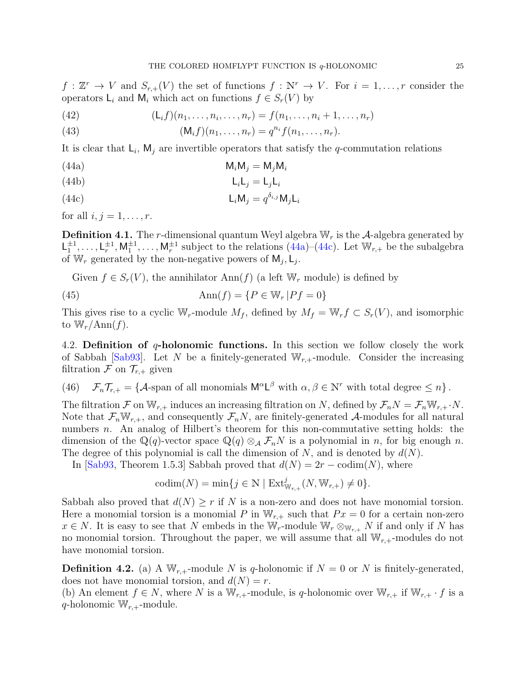$f: \mathbb{Z}^r \to V$  and  $S_{r,+}(V)$  the set of functions  $f: \mathbb{N}^r \to V$ . For  $i = 1, \ldots, r$  consider the operators  $\mathsf{L}_i$  and  $\mathsf{M}_i$  which act on functions  $f \in S_r(V)$  by

(42) 
$$
(L_i f)(n_1, ..., n_i, ..., n_r) = f(n_1, ..., n_i + 1, ..., n_r)
$$

(43) 
$$
(M_i f)(n_1, ..., n_r) = q^{n_i} f(n_1, ..., n_r).
$$

It is clear that  $\mathsf{L}_i$ ,  $\mathsf{M}_j$  are invertible operators that satisfy the q-commutation relations

<span id="page-24-1"></span>
$$
(44a) \t\t\t M_iM_j = M_jM_i
$$

(44b) LiL<sup>j</sup> = LjL<sup>i</sup>

<span id="page-24-2"></span>
$$
L_i M_j = q^{\delta_{i,j}} M_j L_i
$$

for all  $i, j = 1, \ldots, r$ .

**Definition 4.1.** The r-dimensional quantum Weyl algebra  $W_r$  is the A-algebra generated by  $\mathsf{L}_1^{\pm 1}, \ldots, \mathsf{L}_r^{\pm 1}, \mathsf{M}_1^{\pm 1}, \ldots, \mathsf{M}_r^{\pm 1}$  subject to the relations  $(44a)-(44c)$  $(44a)-(44c)$ . Let  $\mathbb{W}_{r,+}$  be the subalgebra of W<sub>r</sub> generated by the non-negative powers of  $M_j, L_j$ .

Given  $f \in S_r(V)$ , the annihilator Ann(f) (a left  $\mathbb{W}_r$  module) is defined by

(45)  $\text{Ann}(f) = \{P \in \mathbb{W}_r | P f = 0\}$ 

This gives rise to a cyclic W<sub>r</sub>-module  $M_f$ , defined by  $M_f = W_r f \subset S_r(V)$ , and isomorphic to  $\mathbb{W}_r/\text{Ann}(f)$ .

<span id="page-24-0"></span>4.2. Definition of  $q$ -holonomic functions. In this section we follow closely the work of Sabbah [\[Sab93\]](#page-39-4). Let N be a finitely-generated  $W_{r,+}$ -module. Consider the increasing filtration  $\mathcal F$  on  $\mathcal T_{r,+}$  given

(46)  $\mathcal{F}_n \mathcal{T}_{r,+} = \{ \mathcal{A} \text{-span of all monomials } \mathsf{M}^\alpha \mathsf{L}^\beta \text{ with } \alpha, \beta \in \mathbb{N}^r \text{ with total degree } \leq n \}.$ 

The filtration F on  $\mathbb{W}_{r,+}$  induces an increasing filtration on N, defined by  $\mathcal{F}_nN = \mathcal{F}_n\mathbb{W}_{r,+}\cdot N$ . Note that  $\mathcal{F}_n \mathbb{W}_{r,+}$ , and consequently  $\mathcal{F}_n N$ , are finitely-generated A-modules for all natural numbers *n*. An analog of Hilbert's theorem for this non-commutative setting holds: the dimension of the Q(q)-vector space Q(q)  $\otimes_A \mathcal{F}_n$ N is a polynomial in n, for big enough n. The degree of this polynomial is call the dimension of  $N$ , and is denoted by  $d(N)$ .

In [\[Sab93,](#page-39-4) Theorem 1.5.3] Sabbah proved that  $d(N) = 2r - \text{codim}(N)$ , where

$$
\mathrm{codim}(N)=\min\{j\in\mathbb{N}\mid \mathrm{Ext}^j_{\mathbb{W}_{r,+}}(N,\mathbb{W}_{r,+})\neq 0\}.
$$

Sabbah also proved that  $d(N) \geq r$  if N is a non-zero and does not have monomial torsion. Here a monomial torsion is a monomial P in  $\mathbb{W}_{r,+}$  such that  $Px = 0$  for a certain non-zero  $x \in N$ . It is easy to see that N embeds in the W<sub>r</sub>-module W<sub>r</sub>  $\otimes_{\mathbb{W}_{r,+}} N$  if and only if N has no monomial torsion. Throughout the paper, we will assume that all  $\mathbb{W}_{r,+}$ -modules do not have monomial torsion.

**Definition 4.2.** (a) A  $W_{r,+}$ -module N is q-holonomic if  $N = 0$  or N is finitely-generated, does not have monomial torsion, and  $d(N) = r$ .

(b) An element  $f \in N$ , where N is a  $\mathbb{W}_{r,+}$ -module, is q-holonomic over  $\mathbb{W}_{r,+}$  if  $\mathbb{W}_{r,+} \cdot f$  is a q-holonomic  $\mathbb{W}_{r,+}$ -module.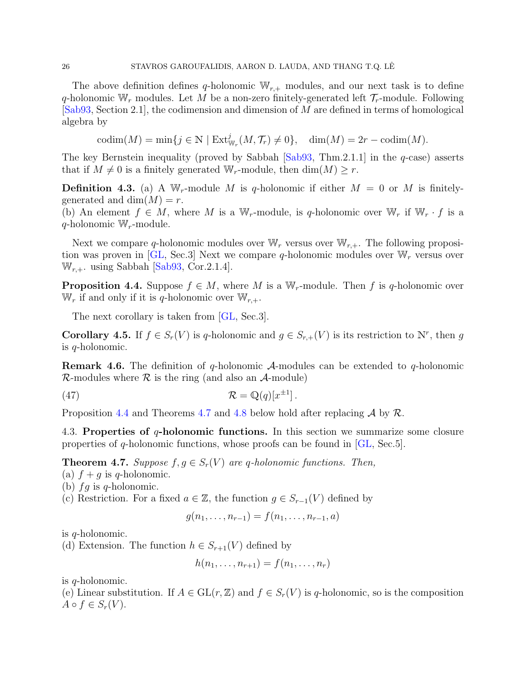The above definition defines q-holonomic  $\mathbb{W}_{r,+}$  modules, and our next task is to define q-holonomic  $\mathbb{W}_r$  modules. Let M be a non-zero finitely-generated left  $\mathcal{T}_r$ -module. Following [\[Sab93,](#page-39-4) Section 2.1], the codimension and dimension of M are defined in terms of homological algebra by

 $\mathrm{codim}(M) = \min\{j \in \mathbb{N} \mid \mathrm{Ext}^j_{\mathbb{W}_r}(M, \mathcal{T}_r) \neq 0\}, \quad \dim(M) = 2r - \mathrm{codim}(M).$ 

The key Bernstein inequality (proved by Sabbah  $[Sab93, Thm.2.1.1]$  in the q-case) asserts that if  $M \neq 0$  is a finitely generated W<sub>r</sub>-module, then dim(M)  $\geq r$ .

**Definition 4.3.** (a) A W<sub>r</sub>-module M is q-holonomic if either  $M = 0$  or M is finitelygenerated and dim $(M) = r$ .

(b) An element  $f \in M$ , where M is a W<sub>r</sub>-module, is q-holonomic over W<sub>r</sub> if W<sub>r</sub> · f is a  $q$ -holonomic W<sub>r</sub>-module.

Next we compare q-holonomic modules over  $\mathbb{W}_r$  versus over  $\mathbb{W}_{r,+}$ . The following proposi-tion was proven in [\[GL,](#page-37-4) Sec.3] Next we compare q-holonomic modules over  $\mathbb{W}_r$  versus over  $W_{r,+}$ . using Sabbah [\[Sab93,](#page-39-4) Cor.2.1.4].

<span id="page-25-1"></span>**Proposition 4.4.** Suppose  $f \in M$ , where M is a W<sub>r</sub>-module. Then f is q-holonomic over  $\mathbb{W}_r$  if and only if it is q-holonomic over  $\mathbb{W}_{r,+}$ .

The next corollary is taken from [\[GL,](#page-37-4) Sec.3].

**Corollary 4.5.** If  $f \in S_r(V)$  is q-holonomic and  $g \in S_{r,+}(V)$  is its restriction to N<sup>r</sup>, then g is q-holonomic.

**Remark 4.6.** The definition of q-holonomic  $A$ -modules can be extended to q-holonomic  $\mathcal{R}$ -modules where  $\mathcal{R}$  is the ring (and also an  $\mathcal{A}$ -module)

(47) 
$$
\mathcal{R} = \mathbb{Q}(q)[x^{\pm 1}].
$$

Proposition [4.4](#page-25-1) and Theorems [4.7](#page-25-2) and [4.8](#page-26-3) below hold after replacing  $\mathcal A$  by  $\mathcal R$ .

<span id="page-25-0"></span>4.3. Properties of  $q$ -holonomic functions. In this section we summarize some closure properties of q-holonomic functions, whose proofs can be found in [\[GL,](#page-37-4) Sec.5].

<span id="page-25-2"></span>**Theorem 4.7.** Suppose  $f, g \in S_r(V)$  are q-holonomic functions. Then,

(a)  $f + g$  is q-holonomic.

(b)  $fg$  is q-holonomic.

(c) Restriction. For a fixed  $a \in \mathbb{Z}$ , the function  $g \in S_{r-1}(V)$  defined by

$$
g(n_1, \ldots, n_{r-1}) = f(n_1, \ldots, n_{r-1}, a)
$$

is q-holonomic.

(d) Extension. The function  $h \in S_{r+1}(V)$  defined by

$$
h(n_1,\ldots,n_{r+1})=f(n_1,\ldots,n_r)
$$

is q-holonomic.

(e) Linear substitution. If  $A \in GL(r, \mathbb{Z})$  and  $f \in S_r(V)$  is q-holonomic, so is the composition  $A \circ f \in S_r(V)$ .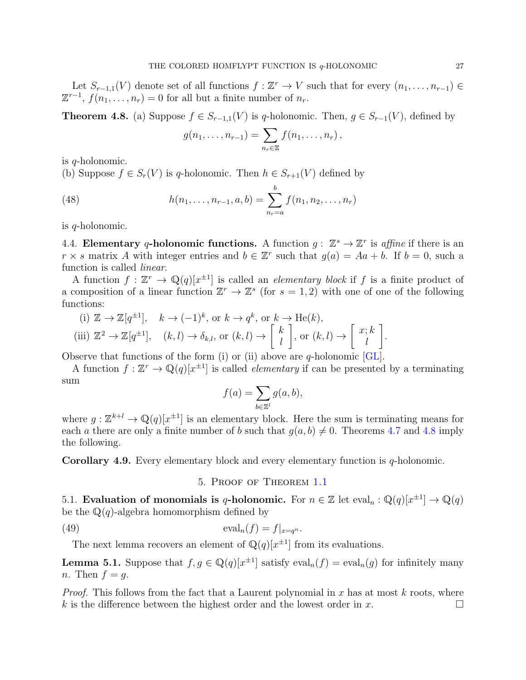Let  $S_{r-1,1}(V)$  denote set of all functions  $f: \mathbb{Z}^r \to V$  such that for every  $(n_1, \ldots, n_{r-1}) \in$  $\mathbb{Z}^{r-1}$ ,  $f(n_1,\ldots,n_r)=0$  for all but a finite number of  $n_r$ .

<span id="page-26-3"></span>**Theorem 4.8.** (a) Suppose  $f \in S_{r-1,1}(V)$  is q-holonomic. Then,  $g \in S_{r-1}(V)$ , defined by

$$
g(n_1,\ldots,n_{r-1})=\sum_{n_r\in\mathbb{Z}}f(n_1,\ldots,n_r),
$$

is q-holonomic.

(b) Suppose  $f \in S_r(V)$  is q-holonomic. Then  $h \in S_{r+1}(V)$  defined by

(48) 
$$
h(n_1, \ldots, n_{r-1}, a, b) = \sum_{n_r=a}^{b} f(n_1, n_2, \ldots, n_r)
$$

is q-holonomic.

<span id="page-26-0"></span>4.4. Elementary q-holonomic functions. A function  $g: \mathbb{Z}^s \to \mathbb{Z}^r$  is affine if there is an  $r \times s$  matrix A with integer entries and  $b \in \mathbb{Z}^r$  such that  $g(a) = Aa + b$ . If  $b = 0$ , such a function is called linear.

A function  $f: \mathbb{Z}^r \to \mathbb{Q}(q)[x^{\pm 1}]$  is called an *elementary block* if f is a finite product of a composition of a linear function  $\mathbb{Z}^r \to \mathbb{Z}^s$  (for  $s = 1, 2$ ) with one of one of the following functions:

(i) 
$$
\mathbb{Z} \to \mathbb{Z}[q^{\pm 1}], \quad k \to (-1)^k, \text{ or } k \to q^k, \text{ or } k \to \text{He}(k),
$$
  
(iii)  $\mathbb{Z}^2 \to \mathbb{Z}[q^{\pm 1}], \quad (k, l) \to \delta_{k,l}, \text{ or } (k, l) \to \begin{bmatrix} k \\ l \end{bmatrix}, \text{ or } (k, l) \to \begin{bmatrix} x; k \\ l \end{bmatrix}.$ 

Observe that functions of the form (i) or (ii) above are q-holonomic  $\lbrack GL \rbrack$ .

A function  $f: \mathbb{Z}^r \to \mathbb{Q}(q)[x^{\pm 1}]$  is called *elementary* if can be presented by a terminating sum

$$
f(a) = \sum_{b \in \mathbb{Z}^l} g(a, b),
$$

where  $g: \mathbb{Z}^{k+l} \to \mathbb{Q}(q)[x^{\pm 1}]$  is an elementary block. Here the sum is terminating means for each a there are only a finite number of b such that  $q(a, b) \neq 0$ . Theorems [4.7](#page-25-2) and [4.8](#page-26-3) imply the following.

<span id="page-26-1"></span>Corollary 4.9. Every elementary block and every elementary function is q-holonomic.

5. Proof of Theorem [1.1](#page-3-1)

<span id="page-26-2"></span>5.1. Evaluation of monomials is q-holonomic. For  $n \in \mathbb{Z}$  let  $eval_n : \mathbb{Q}(q)[x^{\pm 1}] \to \mathbb{Q}(q)$ be the  $\mathbb{Q}(q)$ -algebra homomorphism defined by

(49) 
$$
\mathrm{eval}_n(f) = f|_{x=q^n}.
$$

The next lemma recovers an element of  $\mathbb{Q}(q)[x^{\pm 1}]$  from its evaluations.

<span id="page-26-4"></span>**Lemma 5.1.** Suppose that  $f, g \in \mathbb{Q}(q)[x^{\pm 1}]$  satisfy  $eval_n(f) = eval_n(g)$  for infinitely many n. Then  $f = q$ .

*Proof.* This follows from the fact that a Laurent polynomial in x has at most k roots, where k is the difference between the highest order and the lowest order in x.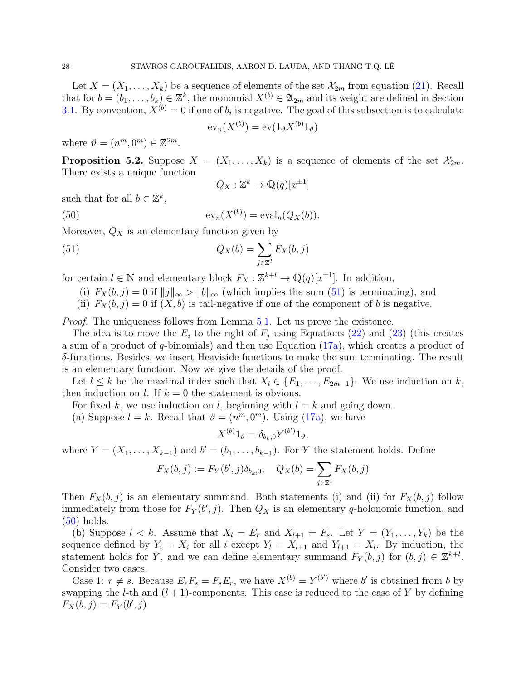Let  $X = (X_1, \ldots, X_k)$  be a sequence of elements of the set  $\mathcal{X}_{2m}$  from equation [\(21\)](#page-17-3). Recall that for  $b = (b_1, \ldots, b_k) \in \mathbb{Z}^k$ , the monomial  $X^{(b)} \in \mathfrak{A}_{2m}$  and its weight are defined in Section [3.1.](#page-17-1) By convention,  $X^{(b)} = 0$  if one of  $b_i$  is negative. The goal of this subsection is to calculate

$$
\operatorname{ev}_n(X^{(b)}) = \operatorname{ev}(1_\vartheta X^{(b)} 1_\vartheta)
$$

where  $\vartheta = (n^m, 0^m) \in \mathbb{Z}^{2m}$ .

<span id="page-27-0"></span>**Proposition 5.2.** Suppose  $X = (X_1, \ldots, X_k)$  is a sequence of elements of the set  $\mathcal{X}_{2m}$ . There exists a unique function

<span id="page-27-2"></span><span id="page-27-1"></span>
$$
Q_X : \mathbb{Z}^k \to \mathbb{Q}(q)[x^{\pm 1}]
$$

such that for all  $b \in \mathbb{Z}^k$ ,

(50) 
$$
\mathrm{ev}_n(X^{(b)}) = \mathrm{eval}_n(Q_X(b)).
$$

Moreover,  $Q_X$  is an elementary function given by

(51) 
$$
Q_X(b) = \sum_{j \in \mathbb{Z}^l} F_X(b, j)
$$

for certain  $l \in \mathbb{N}$  and elementary block  $F_X : \mathbb{Z}^{k+l} \to \mathbb{Q}(q)[x^{\pm 1}]$ . In addition,

- (i)  $F_X(b, j) = 0$  if  $||j||_{\infty} > ||b||_{\infty}$  (which implies the sum [\(51\)](#page-27-1) is terminating), and
- (ii)  $F_X(b, j) = 0$  if  $(X, b)$  is tail-negative if one of the component of b is negative.

*Proof.* The uniqueness follows from Lemma [5.1.](#page-26-4) Let us prove the existence.

The idea is to move the  $E_i$  to the right of  $F_j$  using Equations [\(22\)](#page-17-2) and [\(23\)](#page-18-2) (this creates a sum of a product of  $q$ -binomials) and then use Equation  $(17a)$ , which creates a product of δ-functions. Besides, we insert Heaviside functions to make the sum terminating. The result is an elementary function. Now we give the details of the proof.

Let  $l \leq k$  be the maximal index such that  $X_l \in \{E_1, \ldots, E_{2m-1}\}$ . We use induction on k, then induction on l. If  $k = 0$  the statement is obvious.

For fixed k, we use induction on l, beginning with  $l = k$  and going down.

(a) Suppose  $l = k$ . Recall that  $\vartheta = (n^m, 0^m)$ . Using [\(17a\)](#page-13-7), we have

$$
X^{(b)}1_{\vartheta} = \delta_{b_k,0} Y^{(b')}1_{\vartheta},
$$

where  $Y = (X_1, \ldots, X_{k-1})$  and  $b' = (b_1, \ldots, b_{k-1})$ . For Y the statement holds. Define

$$
F_X(b, j) := F_Y(b', j)\delta_{b_k,0}, \quad Q_X(b) = \sum_{j \in \mathbb{Z}^l} F_X(b, j)
$$

Then  $F_X(b, j)$  is an elementary summand. Both statements (i) and (ii) for  $F_X(b, j)$  follow immediately from those for  $F_Y(b', j)$ . Then  $Q_X$  is an elementary q-holonomic function, and [\(50\)](#page-27-2) holds.

(b) Suppose  $l < k$ . Assume that  $X_l = E_r$  and  $X_{l+1} = F_s$ . Let  $Y = (Y_1, \ldots, Y_k)$  be the sequence defined by  $Y_i = X_i$  for all i except  $Y_l = X_{l+1}$  and  $Y_{l+1} = X_l$ . By induction, the statement holds for Y, and we can define elementary summand  $F_Y(b, j)$  for  $(b, j) \in \mathbb{Z}^{k+l}$ . Consider two cases.

Case 1:  $r \neq s$ . Because  $E_r F_s = F_s E_r$ , we have  $X^{(b)} = Y^{(b')}$  where b' is obtained from b by swapping the *l*-th and  $(l + 1)$ -components. This case is reduced to the case of Y by defining  $F_X(b, j) = F_Y(b', j).$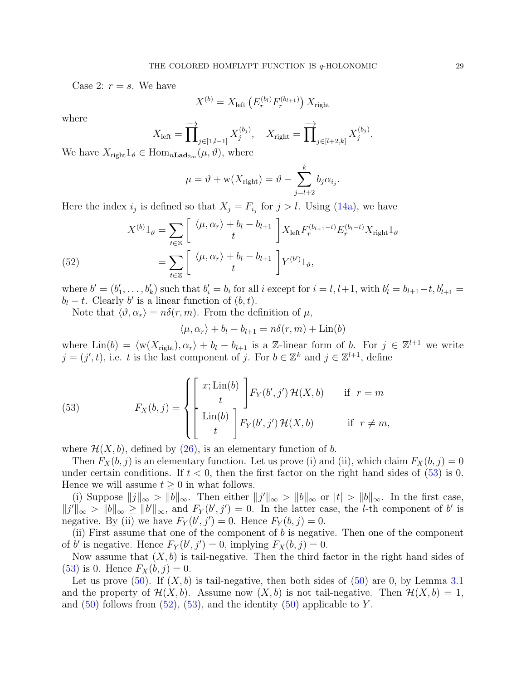Case 2:  $r = s$ . We have

$$
X^{(b)} = X_{\text{left}} \left( E_r^{(b_l)} F_r^{(b_{l+1})} \right) X_{\text{right}}
$$

where

$$
X_{\text{left}} = \overrightarrow{\prod}_{j \in [1, l-1]} X_j^{(b_j)}, \quad X_{\text{right}} = \overrightarrow{\prod}_{j \in [l+2, k]} X_j^{(b_j)}.
$$

We have  $X_{\text{right}}1_{\vartheta} \in \text{Hom}_{n\text{Lad}_{2m}}(\mu, \vartheta)$ , where

$$
\mu = \vartheta + w(X_{\text{right}}) = \vartheta - \sum_{j=l+2}^{k} b_j \alpha_{i_j}.
$$

Here the index  $i_j$  is defined so that  $X_j = F_{i_j}$  for  $j > l$ . Using [\(14a\)](#page-13-1), we have

<span id="page-28-1"></span>(52) 
$$
X^{(b)}1_{\vartheta} = \sum_{t \in \mathbb{Z}} \left[ \begin{array}{c} \langle \mu, \alpha_r \rangle + b_l - b_{l+1} \\ t \end{array} \right] X_{\text{left}} F_r^{(b_{l+1}-t)} E_r^{(b_l-t)} X_{\text{right}} 1_{\vartheta} = \sum_{t \in \mathbb{Z}} \left[ \begin{array}{c} \langle \mu, \alpha_r \rangle + b_l - b_{l+1} \\ t \end{array} \right] Y^{(b')} 1_{\vartheta},
$$

where  $b' = (b'_1, \ldots, b'_k)$  such that  $b'_i = b_i$  for all i except for  $i = l, l+1$ , with  $b'_l = b_{l+1} - t, b'_{l+1} =$  $b_l - t$ . Clearly b' is a linear function of  $(b, t)$ .

Note that  $\langle \vartheta, \alpha_r \rangle = n\delta(r, m)$ . From the definition of  $\mu$ ,

<span id="page-28-0"></span>
$$
\langle \mu, \alpha_r \rangle + b_l - b_{l+1} = n\delta(r, m) + \text{Lin}(b)
$$

where  $\text{Lin}(b) = \langle w(X_{\text{right}}), \alpha_r \rangle + b_l - b_{l+1}$  is a Z-linear form of b. For  $j \in \mathbb{Z}^{l+1}$  we write  $j = (j', t)$ , i.e. t is the last component of j. For  $b \in \mathbb{Z}^k$  and  $j \in \mathbb{Z}^{l+1}$ , define

(53) 
$$
F_X(b,j) = \begin{cases} \begin{bmatrix} x; \text{Lin}(b) \\ t \end{bmatrix} F_Y(b',j') \mathcal{H}(X,b) & \text{if } r=m \\ \text{Lin}(b) \\ t & \end{cases}
$$

where  $\mathcal{H}(X, b)$ , defined by [\(26\)](#page-19-7), is an elementary function of b.

Then  $F_X(b, j)$  is an elementary function. Let us prove (i) and (ii), which claim  $F_X(b, j) = 0$ under certain conditions. If  $t < 0$ , then the first factor on the right hand sides of [\(53\)](#page-28-0) is 0. Hence we will assume  $t \geq 0$  in what follows.

(i) Suppose  $||j||_{\infty} > ||b||_{\infty}$ . Then either  $||j'||_{\infty} > ||b||_{\infty}$  or  $|t| > ||b||_{\infty}$ . In the first case,  $||j'||_{\infty} > ||b||_{\infty} \ge ||b'||_{\infty}$ , and  $F_Y(b', j') = 0$ . In the latter case, the *l*-th component of b' is negative. By (ii) we have  $F_Y(b', j') = 0$ . Hence  $F_Y(b, j) = 0$ .

(ii) First assume that one of the component of  $b$  is negative. Then one of the component of b' is negative. Hence  $F_Y(b', j') = 0$ , implying  $F_X(b, j) = 0$ .

Now assume that  $(X, b)$  is tail-negative. Then the third factor in the right hand sides of [\(53\)](#page-28-0) is 0. Hence  $F_X(b, j) = 0$ .

Let us prove  $(50)$ . If  $(X, b)$  is tail-negative, then both sides of  $(50)$  are 0, by Lemma [3.1](#page-18-4) and the property of  $\mathcal{H}(X, b)$ . Assume now  $(X, b)$  is not tail-negative. Then  $\mathcal{H}(X, b) = 1$ , and  $(50)$  follows from  $(52)$ ,  $(53)$ , and the identity  $(50)$  applicable to Y.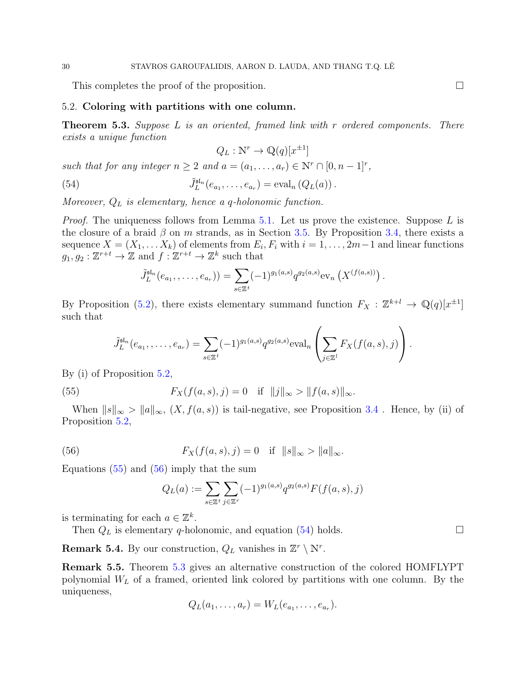This completes the proof of the proposition.

## <span id="page-29-0"></span>5.2. Coloring with partitions with one column.

<span id="page-29-4"></span>**Theorem 5.3.** Suppose L is an oriented, framed link with r ordered components. There exists a unique function

<span id="page-29-3"></span> $Q_L: \mathbb{N}^r \to \mathbb{Q}(q)[x^{\pm 1}]$ 

such that for any integer  $n \geq 2$  and  $a = (a_1, \ldots, a_r) \in \mathbb{N}^r \cap [0, n-1]^r$ ,

(54) 
$$
\tilde{J}_L^{\mathfrak{sl}_n}(e_{a_1},\ldots,e_{a_r}) = \text{eval}_n(Q_L(a)).
$$

Moreover,  $Q_L$  is elementary, hence a q-holonomic function.

*Proof.* The uniqueness follows from Lemma [5.1.](#page-26-4) Let us prove the existence. Suppose L is the closure of a braid  $\beta$  on m strands, as in Section [3.5.](#page-19-1) By Proposition [3.4,](#page-20-4) there exists a sequence  $X = (X_1, \ldots X_k)$  of elements from  $E_i, F_i$  with  $i = 1, \ldots, 2m-1$  and linear functions  $g_1, g_2: \mathbb{Z}^{r+t} \to \mathbb{Z}$  and  $f: \mathbb{Z}^{r+t} \to \mathbb{Z}^k$  such that

$$
\tilde{J}_L^{\mathsf{sf}_n}(e_{a_1},\ldots,e_{a_r}) = \sum_{s\in\mathbb{Z}^t} (-1)^{g_1(a,s)} q^{g_2(a,s)} \text{ev}_n \left( X^{(f(a,s))} \right).
$$

By Proposition [\(5.2\)](#page-27-0), there exists elementary summand function  $F_X : \mathbb{Z}^{k+l} \to \mathbb{Q}(q)[x^{\pm 1}]$ such that

$$
\tilde{J}_L^{\mathfrak{sl}_n}(e_{a_1},\ldots,e_{a_r})=\sum_{s\in\mathbb{Z}^t}(-1)^{g_1(a,s)}q^{g_2(a,s)}\text{eval}_n\left(\sum_{j\in\mathbb{Z}^l}F_X(f(a,s),j)\right).
$$

By (i) of Proposition [5.2,](#page-27-0)

<span id="page-29-1"></span>(55) 
$$
F_X(f(a,s),j) = 0 \quad \text{if} \quad ||j||_{\infty} > ||f(a,s)||_{\infty}.
$$

When  $||s||_{\infty} > ||a||_{\infty}$ ,  $(X, f(a, s))$  is tail-negative, see Proposition [3.4](#page-20-4). Hence, by (ii) of Proposition [5.2,](#page-27-0)

<span id="page-29-2"></span>(56) 
$$
F_X(f(a, s), j) = 0 \text{ if } ||s||_{\infty} > ||a||_{\infty}.
$$

Equations  $(55)$  and  $(56)$  imply that the sum

$$
Q_L(a) := \sum_{s \in \mathbb{Z}^t} \sum_{j \in \mathbb{Z}^r} (-1)^{g_1(a,s)} q^{g_2(a,s)} F(f(a,s), j)
$$

is terminating for each  $a \in \mathbb{Z}^k$ .

Then  $Q_L$  is elementary q-holonomic, and equation [\(54\)](#page-29-3) holds.  $\square$ 

**Remark 5.4.** By our construction,  $Q_L$  vanishes in  $\mathbb{Z}^r \setminus \mathbb{N}^r$ .

Remark 5.5. Theorem [5.3](#page-29-4) gives an alternative construction of the colored HOMFLYPT polynomial  $W_L$  of a framed, oriented link colored by partitions with one column. By the uniqueness,

$$
Q_L(a_1,\ldots,a_r)=W_L(e_{a_1},\ldots,e_{a_r}).
$$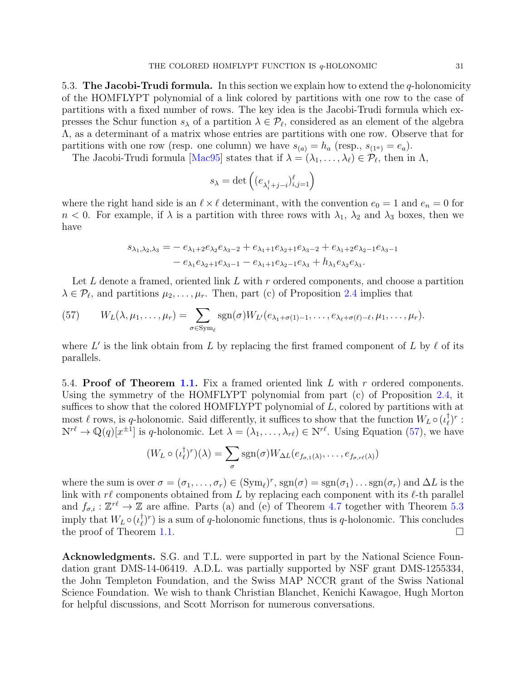<span id="page-30-0"></span>5.3. The Jacobi-Trudi formula. In this section we explain how to extend the  $q$ -holonomicity of the HOMFLYPT polynomial of a link colored by partitions with one row to the case of partitions with a fixed number of rows. The key idea is the Jacobi-Trudi formula which expresses the Schur function  $s_{\lambda}$  of a partition  $\lambda \in \mathcal{P}_{\ell}$ , considered as an element of the algebra Λ, as a determinant of a matrix whose entries are partitions with one row. Observe that for partitions with one row (resp. one column) we have  $s_{(a)} = h_a$  (resp.,  $s_{(1^a)} = e_a$ ).

The Jacobi-Trudi formula [\[Mac95\]](#page-38-16) states that if  $\lambda = (\lambda_1, \dots, \lambda_\ell) \in \mathcal{P}_\ell$ , then in  $\Lambda$ ,

$$
s_{\lambda} = \det \left( (e_{\lambda_i^{\dagger} + j - i})_{i,j=1}^{\ell} \right)
$$

where the right hand side is an  $\ell \times \ell$  determinant, with the convention  $e_0 = 1$  and  $e_n = 0$  for  $n < 0$ . For example, if  $\lambda$  is a partition with three rows with  $\lambda_1$ ,  $\lambda_2$  and  $\lambda_3$  boxes, then we have

$$
s_{\lambda_1, \lambda_2, \lambda_3} = -e_{\lambda_1+2}e_{\lambda_2}e_{\lambda_3-2} + e_{\lambda_1+1}e_{\lambda_2+1}e_{\lambda_3-2} + e_{\lambda_1+2}e_{\lambda_2-1}e_{\lambda_3-1}
$$
  

$$
-e_{\lambda_1}e_{\lambda_2+1}e_{\lambda_3-1} - e_{\lambda_1+1}e_{\lambda_2-1}e_{\lambda_3} + h_{\lambda_1}e_{\lambda_2}e_{\lambda_3}.
$$

Let L denote a framed, oriented link L with r ordered components, and choose a partition  $\lambda \in \mathcal{P}_\ell$ , and partitions  $\mu_2, \ldots, \mu_r$ . Then, part (c) of Proposition [2.4](#page-8-2) implies that

<span id="page-30-3"></span>(57) 
$$
W_L(\lambda, \mu_1, \ldots, \mu_r) = \sum_{\sigma \in \text{Sym}_{\ell}} \text{sgn}(\sigma) W_{L'}(e_{\lambda_1 + \sigma(1)-1}, \ldots, e_{\lambda_\ell + \sigma(\ell)-\ell}, \mu_1, \ldots, \mu_r).
$$

where L' is the link obtain from L by replacing the first framed component of L by  $\ell$  of its parallels.

<span id="page-30-1"></span>5.4. Proof of Theorem [1.1.](#page-3-1) Fix a framed oriented link L with r ordered components. Using the symmetry of the HOMFLYPT polynomial from part (c) of Proposition [2.4,](#page-8-2) it suffices to show that the colored HOMFLYPT polynomial of L, colored by partitions with at most  $\ell$  rows, is q-holonomic. Said differently, it suffices to show that the function  $W_L \circ (i_{\ell}^{\dagger})$  $_{\ell}^{\dagger})^{r}$  :  $\mathbb{N}^{r\ell} \to \mathbb{Q}(q)[x^{\pm 1}]$  is q-holonomic. Let  $\lambda = (\lambda_1, \ldots, \lambda_{r\ell}) \in \mathbb{N}^{r\ell}$ . Using Equation [\(57\)](#page-30-3), we have

$$
(W_L \circ (\iota_{\ell}^{\dagger})^r)(\lambda) = \sum_{\sigma} sgn(\sigma) W_{\Delta L}(e_{f_{\sigma,1}(\lambda)}, \ldots, e_{f_{\sigma,r\ell}(\lambda)})
$$

where the sum is over  $\sigma = (\sigma_1, \ldots, \sigma_r) \in (\text{Sym}_{\ell})^r$ ,  $\text{sgn}(\sigma) = \text{sgn}(\sigma_1) \ldots \text{sgn}(\sigma_r)$  and  $\Delta L$  is the link with  $r\ell$  components obtained from L by replacing each component with its  $\ell$ -th parallel and  $f_{\sigma,i} : \mathbb{Z}^{r\ell} \to \mathbb{Z}$  are affine. Parts (a) and (e) of Theorem [4.7](#page-25-2) together with Theorem [5.3](#page-29-4) imply that  $W_L \circ (\iota_{\ell}^{\dagger}$  $(\ell)^r$  is a sum of q-holonomic functions, thus is q-holonomic. This concludes the proof of Theorem [1.1.](#page-3-1)

<span id="page-30-2"></span>Acknowledgments. S.G. and T.L. were supported in part by the National Science Foundation grant DMS-14-06419. A.D.L. was partially supported by NSF grant DMS-1255334, the John Templeton Foundation, and the Swiss MAP NCCR grant of the Swiss National Science Foundation. We wish to thank Christian Blanchet, Kenichi Kawagoe, Hugh Morton for helpful discussions, and Scott Morrison for numerous conversations.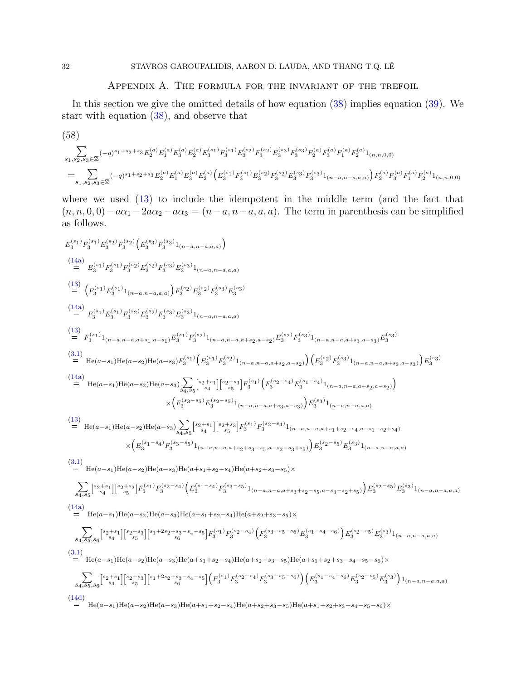## Appendix A. The formula for the invariant of the trefoil

<span id="page-31-0"></span>In this section we give the omitted details of how equation  $(38)$  implies equation  $(39)$ . We start with equation [\(38\)](#page-22-4), and observe that

<span id="page-31-1"></span>
$$
(58)
$$
\n
$$
\sum_{s_1, s_2, s_3 \in \mathbb{Z}} (-q)^{s_1+s_2+s_3} E_2^{(a)} E_1^{(a)} E_3^{(a)} E_2^{(a)} E_3^{(s_1)} F_3^{(s_1)} E_3^{(s_2)} F_3^{(s_2)} E_3^{(s_3)} F_3^{(s_3)} F_2^{(a)} F_3^{(a)} F_1^{(a)} F_2^{(a)} 1_{(n, n, 0, 0)}
$$
\n
$$
= \sum_{s_1, s_2, s_3 \in \mathbb{Z}} (-q)^{s_1+s_2+s_3} E_2^{(a)} E_1^{(a)} E_3^{(a)} E_2^{(a)} \left( E_3^{(s_1)} F_3^{(s_1)} E_3^{(s_2)} F_3^{(s_2)} F_3^{(s_3)} F_3^{(s_3)} F_3^{(s_3)} 1_{(n-a, n-a, a, a)} \right) F_2^{(a)} F_3^{(a)} F_1^{(a)} F_2^{(a)} 1_{(n, n, 0, 0)}
$$

where we used  $(13)$  to include the idempotent in the middle term (and the fact that  $(n, n, 0, 0) - a\alpha_1 - 2a\alpha_2 - a\alpha_3 = (n - a, n - a, a, a)$ . The term in parenthesis can be simplified as follows.

$$
\begin{split} &E_3^{(s_1)}F_3^{(s_1)}F_3^{(s_2)}F_3^{(s_2)}F_3^{(s_2)}F_3^{(s_3)}F_3^{(s_3)}F_3^{(s_3)}F_4^{(s_3)}F_5^{(s_3)}F_5^{(s_3)}F_4^{(s_3)}F_5^{(s_2)}F_5^{(s_3)}F_5^{(s_3)}F_5^{(s_3)}F_5^{(s_3)}F_5^{(s_3)}F_5^{(s_3)}F_5^{(s_3)}F_5^{(s_3)}F_5^{(s_3)}F_5^{(s_3)}F_5^{(s_3)}F_5^{(s_3)}F_5^{(s_3)}F_5^{(s_3)}F_5^{(s_3)}F_5^{(s_3)}F_5^{(s_3)}F_5^{(s_3)}F_5^{(s_3)}F_5^{(s_3)}F_5^{(s_3)}F_5^{(s_3)}F_5^{(s_3)}F_5^{(s_3)}F_5^{(s_3)}F_5^{(s_3)}F_5^{(s_3)}F_5^{(s_3)}F_5^{(s_3)}F_5^{(s_3)}F_5^{(s_3)}F_5^{(s_3)}F_5^{(s_3)}F_5^{(s_3)}F_5^{(s_3)}F_5^{(s_3)}F_5^{(s_3)}F_5^{(s_3)}F_5^{(s_3)}F_5^{(s_3)}F_5^{(s_3)}F_5^{(s_3)}F_5^{(s_3)}F_5^{(s_3)}F_5^{(s_3)}F_5^{(s_3)}F_5^{(s_3)}F_5^{(s_3)}F_5^{(s_3)}F_5^{(s_3)}F_5^{(s_3)}F_5^{(s_3)}F_5^{(s_3)}F_5^{(s_3)}F_5^{(s_3)}F_5^{(s_3)}F_5^{(s_3)}F_5^{(s_3)}F_5^{(s_3)}F_5^{(s_3)}F_5^{(s_3)}F_5^{(s_3)}F_5^{(s_3)}F_5^{(s_3)}F_5^{(s_3)}F_5^{(s_3)}F_5^{(s_3)}F_5^{(s_3)}F_5^{(s_3)}F_5^{(s_3)}F_5^{(s_
$$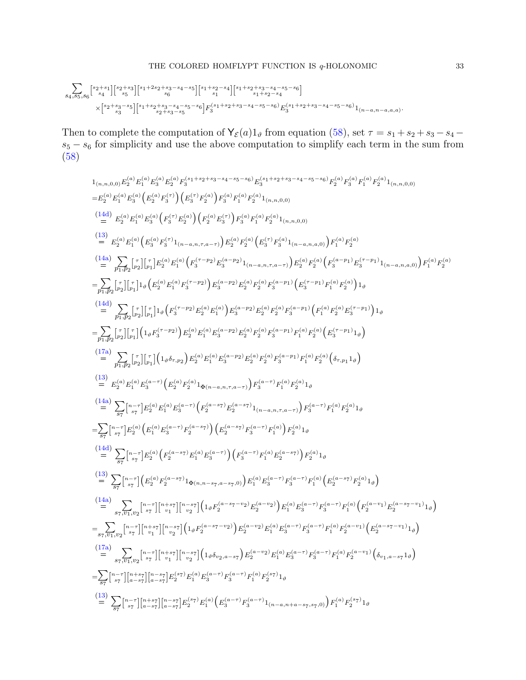P s4,s5,s<sup>6</sup> [ s2+s1 s4 ][s2+s<sup>3</sup> s5 ][s1+2s2+s3−s4−s<sup>5</sup> s6 ][s1+s2−s<sup>4</sup> s1 ][s1+s2+s3−s4−s5−s<sup>6</sup> s1+s2−s4 ] ×[ s2+s3−s5 s3 ][s1+s2+s3−s4−s5−s<sup>6</sup> s2+s3−s5 ]F (s1+s2+s3−s4−s5−s6) <sup>3</sup> E (s1+s2+s3−s4−s5−s6) 3 1(n−a,n−a,a,a) .

Then to complete the computation of  $Y_{\mathcal{E}}(a)1_{\vartheta}$  from equation [\(58\)](#page-31-1), set  $\tau = s_1 + s_2 + s_3 - s_4$  $s_5 - s_6$  for simplicity and use the above computation to simplify each term in the sum from [\(58\)](#page-31-1)

1
$$
1_{(\eta,\eta,0,0)}E_{2}^{(a)}E_{1}^{(a)}E_{3}^{(a)}E_{2}^{(a)}F_{3}^{(a+1+a_{2}+s_{3}-s_{4}-s_{5}-s_{6})}E_{3}^{(a+1+a_{2}+s_{3}-s_{4}-s_{5}-s_{6})}F_{2}^{(a)}F_{3}^{(a)}F_{4}^{(a)}F_{2}^{(a)}(x_{1}^{(a)},x_{0,0})
$$
\n
$$
=E_{2}^{(a)}E_{1}^{(a)}E_{3}^{(a)}\left(E_{2}^{(a)}F_{2}^{(a)}\right)\left(E_{3}^{(a)}F_{2}^{(a)}\right)F_{3}^{(a)}F_{1}^{(a)}F_{2}^{(a)}1_{(\eta,\eta,0,0)}
$$
\n(141) 
$$
E_{2}^{(a)}E_{1}^{(a)}E_{2}^{(a)}\left(F_{3}^{(a)}F_{2}^{(a)}\right)\left(F_{2}^{(a)}F_{2}^{(a)}\right)F_{3}^{(a)}F_{1}^{(a)}F_{2}^{(a)}1_{(\eta,\eta,0,0)}
$$
\n(15) 
$$
E_{2}^{(a)}E_{1}^{(a)}\left(E_{3}^{(a)}F_{3}^{(a)}\right)\left(F_{2}^{(a)}F_{2}^{(a)}\right)F_{3}^{(a)}F_{2}^{(a)}\left(E_{3}^{(a)}F_{3}^{(a)}1_{(\eta,\eta,0,0)}\right)F_{1}^{(a)}F_{2}^{(a)}
$$
\n(14a) 
$$
\sum_{p_{1},p_{2}}\sum_{p_{2}}\sum_{p_{2}}\sum_{p_{1},p_{2}}\sum_{p_{2},p_{2}}\sum_{p_{1},p_{2}}\sum_{p_{2},p_{2}}\sum_{p_{1},p_{2}}\sum_{p_{2},p_{2}}\sum_{p_{2},p_{2}}\sum_{p_{2},p_{2}}\sum_{p_{2},p_{2}}\sum_{p_{2},p_{2}}\sum_{p_{2},p_{2}}\sum_{p_{2},p_{2}}\sum_{p_{2},p_{2}}\sum_{p_{2},p_{2}}\sum_{p_{2},p_{2}}\sum_{p_{2},p_{2}}\sum_{p_{2},p_{2}}\sum_{p_{2},p_{2}}\sum_{p_{2},p_{2}}
$$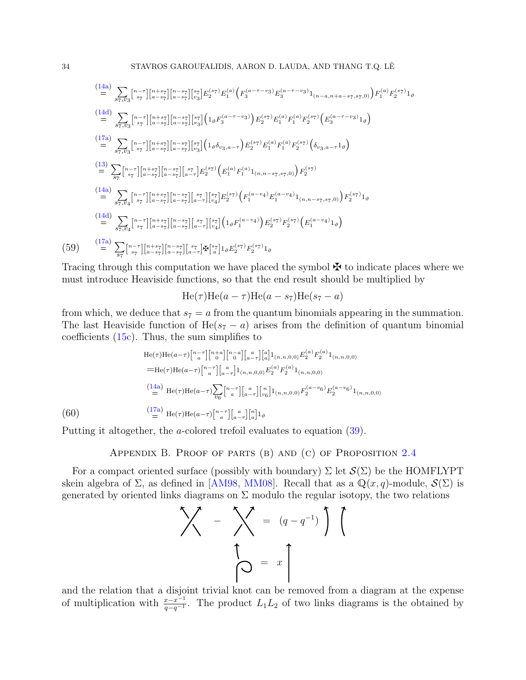$$
\begin{split}\n&\stackrel{(14a)}{=} \sum_{s_7, v_3} \left[ \begin{matrix} n-r \\ s_7 \end{matrix} \right] \left[ \begin{matrix} n+s_7 \\ a-s_7 \end{matrix} \right] \left[ \begin{matrix} n-s_7 \\ v_3 \end{matrix} \right] \left[ \begin{matrix} p_3 \\ p_2 \end{matrix} \right] E_2^{(s_7)} E_1^{(a)} \left( F_3^{(a-\tau-v_3)} E_3^{(a-\tau-v_3)} \right) I_{(n-a,n+a-s_7,s_7,0)} \right) F_1^{(a)} F_2^{(s_7)} I_{\vartheta} \\
&= \sum_{s_7, v_3} \left[ \begin{matrix} n-r \\ s_7 \end{matrix} \right] \left[ \begin{matrix} n+s_7 \\ a-s_7 \end{matrix} \right] \left[ \begin{matrix} n-s_7 \\ a-s_7 \end{matrix} \right] \left[ \begin{matrix} s_7 \\ s_3 \end{matrix} \right] \left( 1_{\vartheta} F_3^{(a-\tau-v_3)} \right) E_2^{(s_7)} E_1^{(a)} F_1^{(a)} F_2^{(s_7)} \left( E_3^{(a-\tau-v_3)} \right) \right. \\
&\stackrel{(17a)}{=} \sum_{s_7, v_3} \left[ \begin{matrix} n-r \\ s_7 \end{matrix} \right] \left[ \begin{matrix} n+s_7 \\ a-s_7 \end{matrix} \right] \left[ \begin{matrix} n-s_7 \\ s_3 \end{matrix} \right] \left[ \begin{matrix} s_7 \\ s_3 \end{matrix} \right] \left( 1_{\vartheta} \delta_{v_3, a-\tau} \right) E_2^{(s_7)} E_1^{(a)} F_1^{(a)} F_2^{(s_7)} \left( \delta_{v_3, a-\tau} 1_{\vartheta} \right) \\
&= \sum_{s_7, v_4} \left[ \begin{matrix} n-r \\ s_7 \end{matrix} \right] \left[ \begin{matrix} n+s_7 \\ a-s_7 \end{matrix} \right] \left[ \begin{matrix} s_7 \\ a-\tau \end{matrix} \right] \left[ \begin{matrix} s_7 \\ s_7 \end{matrix} \right] \left[ \begin{matrix} s_7 \\ s_7 \end{matrix} \right] \left[ \begin{matrix} s_7 \\ s_7 \end{matrix} \right] \left( F_1^{(a)} F_
$$

Tracing through this computation we have placed the symbol  $\mathbf{\ddot{F}}$  to indicate places where we must introduce Heaviside functions, so that the end result should be multiplied by

$$
He(\tau)He(a-\tau)He(a-s_7)He(s_7-a)
$$

from which, we deduce that  $s_7 = a$  from the quantum binomials appearing in the summation. The last Heaviside function of He( $s<sub>7</sub> - a$ ) arises from the definition of quantum binomial coefficients [\(15c\)](#page-13-8). Thus, the sum simplifies to

$$
\begin{aligned}\n\text{He}(\tau) \text{He}(a-\tau) \begin{bmatrix} n-\tau \\ a \end{bmatrix} \begin{bmatrix} n+a \\ 0 \end{bmatrix} \begin{bmatrix} a \\ a-\tau \end{bmatrix} \begin{bmatrix} a \\ a \end{bmatrix} 1_{(n,n,0,0)} E_2^{(a)} F_2^{(a)} 1_{(n,n,0,0)} \\
&= \text{He}(\tau) \text{He}(a-\tau) \begin{bmatrix} n-\tau \\ a \end{bmatrix} \begin{bmatrix} a \\ a-\tau \end{bmatrix} 1_{(n,n,0,0)} E_2^{(a)} F_2^{(a)} 1_{(n,n,0,0)} \\
&= \begin{bmatrix} \frac{(14a)}{2} \text{ He}(\tau) \text{He}(a-\tau) \sum_{v_6} \begin{bmatrix} n-\tau \\ a \end{bmatrix} \begin{bmatrix} a \\ a-\tau \end{bmatrix} \begin{bmatrix} n \\ v_6 \end{bmatrix} 1_{(n,n,0,0)} F_2^{(a-v_6)} E_2^{(a-v_6)} 1_{(n,n,0,0)} \\
&= \begin{bmatrix} \frac{(17a)}{2} \text{ He}(\tau) \text{He}(a-\tau) \begin{bmatrix} n-\tau \\ a \end{bmatrix} \begin{bmatrix} a \\ a-\tau \end{bmatrix} \begin{bmatrix} n \\ a \end{bmatrix} 1_{\vartheta}\n\end{aligned}
$$

Putting it altogether, the a-colored trefoil evaluates to equation [\(39\)](#page-23-2).

Appendix B. Proof of parts (b) and (c) of Proposition [2.4](#page-8-2)

<span id="page-33-0"></span>For a compact oriented surface (possibly with boundary)  $\Sigma$  let  $\mathcal{S}(\Sigma)$  be the HOMFLYPT skein algebra of  $\Sigma$ , as defined in [\[AM98,](#page-36-2) [MM08\]](#page-38-6). Recall that as a  $\mathbb{Q}(x, q)$ -module,  $\mathcal{S}(\Sigma)$  is generated by oriented links diagrams on  $\Sigma$  modulo the regular isotopy, the two relations

$$
\begin{pmatrix} 1 & -1 \\ 0 & 0 \end{pmatrix} = \begin{pmatrix} q - q^{-1} \\ q - q^{-1} \end{pmatrix}
$$

and the relation that a disjoint trivial knot can be removed from a diagram at the expense of multiplication with  $\frac{x-x^{-1}}{q-q^{-1}}$ . The product  $L_1L_2$  of two links diagrams is the obtained by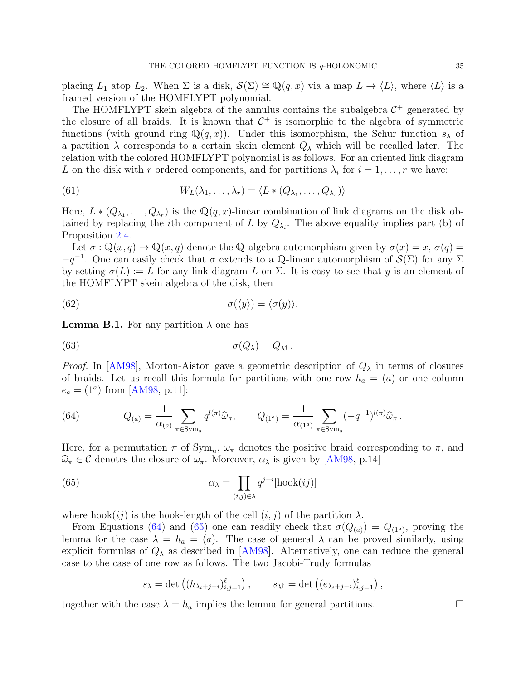placing  $L_1$  atop  $L_2$ . When  $\Sigma$  is a disk,  $\mathcal{S}(\Sigma) \cong \mathbb{Q}(q, x)$  via a map  $L \to \langle L \rangle$ , where  $\langle L \rangle$  is a framed version of the HOMFLYPT polynomial.

The HOMFLYPT skein algebra of the annulus contains the subalgebra  $C^+$  generated by the closure of all braids. It is known that  $C^+$  is isomorphic to the algebra of symmetric functions (with ground ring  $\mathbb{Q}(q, x)$ ). Under this isomorphism, the Schur function  $s_\lambda$  of a partition  $\lambda$  corresponds to a certain skein element  $Q_{\lambda}$  which will be recalled later. The relation with the colored HOMFLYPT polynomial is as follows. For an oriented link diagram L on the disk with r ordered components, and for partitions  $\lambda_i$  for  $i = 1, \ldots, r$  we have:

<span id="page-34-2"></span>(61) 
$$
W_L(\lambda_1,\ldots,\lambda_r)=\langle L*(Q_{\lambda_1},\ldots,Q_{\lambda_r})\rangle
$$

Here,  $L * (Q_{\lambda_1}, \ldots, Q_{\lambda_r})$  is the  $\mathbb{Q}(q, x)$ -linear combination of link diagrams on the disk obtained by replacing the *i*th component of L by  $Q_{\lambda_i}$ . The above equality implies part (b) of Proposition [2.4.](#page-8-2)

Let  $\sigma : \mathbb{Q}(x,q) \to \mathbb{Q}(x,q)$  denote the Q-algebra automorphism given by  $\sigma(x) = x$ ,  $\sigma(q) =$  $-q^{-1}$ . One can easily check that  $\sigma$  extends to a Q-linear automorphism of  $\mathcal{S}(\Sigma)$  for any  $\Sigma$ by setting  $\sigma(L) := L$  for any link diagram L on  $\Sigma$ . It is easy to see that y is an element of the HOMFLYPT skein algebra of the disk, then

<span id="page-34-3"></span>(62) 
$$
\sigma(\langle y \rangle) = \langle \sigma(y) \rangle.
$$

**Lemma B.1.** For any partition  $\lambda$  one has

<span id="page-34-4"></span>(63) 
$$
\sigma(Q_{\lambda}) = Q_{\lambda^{\dagger}}.
$$

*Proof.* In [\[AM98\]](#page-36-2), Morton-Aiston gave a geometric description of  $Q_{\lambda}$  in terms of closures of braids. Let us recall this formula for partitions with one row  $h_a = (a)$  or one column  $e_a = (1^a)$  from [\[AM98,](#page-36-2) p.11]:

<span id="page-34-0"></span>(64) 
$$
Q_{(a)} = \frac{1}{\alpha_{(a)}} \sum_{\pi \in \text{Sym}_a} q^{l(\pi)} \widehat{\omega}_{\pi}, \qquad Q_{(1^a)} = \frac{1}{\alpha_{(1^a)}} \sum_{\pi \in \text{Sym}_a} (-q^{-1})^{l(\pi)} \widehat{\omega}_{\pi}.
$$

Here, for a permutation  $\pi$  of  $Sym_n$ ,  $\omega_{\pi}$  denotes the positive braid corresponding to  $\pi$ , and  $\widehat{\omega}_{\pi} \in \mathcal{C}$  denotes the closure of  $\omega_{\pi}$ . Moreover,  $\alpha_{\lambda}$  is given by [\[AM98,](#page-36-2) p.14]

(65) 
$$
\alpha_{\lambda} = \prod_{(i,j)\in\lambda} q^{j-i} [\text{hook}(ij)]
$$

where hook $(ij)$  is the hook-length of the cell  $(i, j)$  of the partition  $\lambda$ .

From Equations [\(64\)](#page-34-0) and [\(65\)](#page-34-1) one can readily check that  $\sigma(Q_{(a)}) = Q_{(1^a)}$ , proving the lemma for the case  $\lambda = h_a = (a)$ . The case of general  $\lambda$  can be proved similarly, using explicit formulas of  $Q_{\lambda}$  as described in [\[AM98\]](#page-36-2). Alternatively, one can reduce the general case to the case of one row as follows. The two Jacobi-Trudy formulas

<span id="page-34-1"></span>
$$
s_{\lambda} = \det \left( (h_{\lambda_i + j - i})_{i,j=1}^{\ell} \right), \qquad s_{\lambda^{\dagger}} = \det \left( (e_{\lambda_i + j - i})_{i,j=1}^{\ell} \right),
$$

together with the case  $\lambda = h_a$  implies the lemma for general partitions.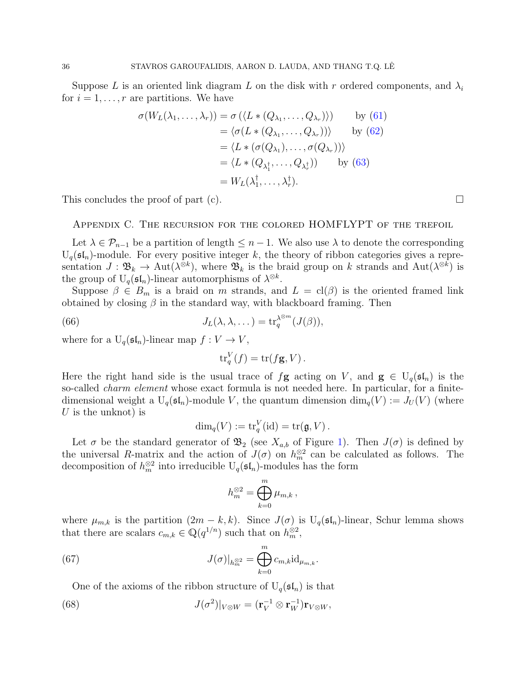Suppose L is an oriented link diagram L on the disk with r ordered components, and  $\lambda_i$ for  $i = 1, \ldots, r$  are partitions. We have

$$
\sigma(W_L(\lambda_1, ..., \lambda_r)) = \sigma(\langle L * (Q_{\lambda_1}, ..., Q_{\lambda_r}) \rangle) \qquad \text{by (61)}
$$
  
\n
$$
= \langle \sigma(L * (Q_{\lambda_1}, ..., Q_{\lambda_r})) \rangle \qquad \text{by (62)}
$$
  
\n
$$
= \langle L * (\sigma(Q_{\lambda_1}), ..., \sigma(Q_{\lambda_r})) \rangle
$$
  
\n
$$
= \langle L * (Q_{\lambda_1^{\dagger}}, ..., Q_{\lambda_r^{\dagger}}) \rangle \qquad \text{by (63)}
$$
  
\n
$$
= W_L(\lambda_1^{\dagger}, ..., \lambda_r^{\dagger}).
$$

This concludes the proof of part (c).  $\Box$ 

<span id="page-35-0"></span>Appendix C. The recursion for the colored HOMFLYPT of the trefoil

Let  $\lambda \in \mathcal{P}_{n-1}$  be a partition of length  $\leq n-1$ . We also use  $\lambda$  to denote the corresponding  $U_q(\mathfrak{sl}_n)$ -module. For every positive integer k, the theory of ribbon categories gives a representation  $J: \mathfrak{B}_k \to \text{Aut}(\lambda^{\otimes k})$ , where  $\mathfrak{B}_k$  is the braid group on k strands and  $\text{Aut}(\lambda^{\otimes k})$  is the group of  $U_q(\mathfrak{sl}_n)$ -linear automorphisms of  $\lambda^{\otimes k}$ .

Suppose  $\beta \in B_m$  is a braid on m strands, and  $L = \text{cl}(\beta)$  is the oriented framed link obtained by closing  $\beta$  in the standard way, with blackboard framing. Then

(66) 
$$
J_L(\lambda, \lambda, \dots) = \text{tr}_q^{\lambda^{\otimes m}}(J(\beta)),
$$

where for a  $U_q(\mathfrak{sl}_n)$ -linear map  $f: V \to V$ ,

<span id="page-35-3"></span>
$$
\operatorname{tr}_q^V(f) = \operatorname{tr}(f\mathbf{g}, V).
$$

Here the right hand side is the usual trace of  $f\mathbf{g}$  acting on V, and  $\mathbf{g} \in U_q(\mathfrak{sl}_n)$  is the so-called *charm element* whose exact formula is not needed here. In particular, for a finitedimensional weight a  $U_q(\mathfrak{sl}_n)$ -module V, the quantum dimension  $\dim_q(V) := J_U(V)$  (where U is the unknot) is

$$
\dim_q(V) := \operatorname{tr}_q^V(\operatorname{id}) = \operatorname{tr}(\mathfrak{g}, V).
$$

Let  $\sigma$  be the standard generator of  $\mathfrak{B}_2$  (see  $X_{a,b}$  of Figure [1\)](#page-11-1). Then  $J(\sigma)$  is defined by the universal R-matrix and the action of  $J(\sigma)$  on  $h_m^{\otimes 2}$  can be calculated as follows. The decomposition of  $h_m^{\otimes 2}$  into irreducible  $U_q(\mathfrak{sl}_n)$ -modules has the form

<span id="page-35-2"></span><span id="page-35-1"></span>
$$
h_m^{\otimes 2} = \bigoplus_{k=0}^m \mu_{m,k},
$$

where  $\mu_{m,k}$  is the partition  $(2m - k, k)$ . Since  $J(\sigma)$  is  $U_q(\mathfrak{sl}_n)$ -linear, Schur lemma shows that there are scalars  $c_{m,k} \in \mathbb{Q}(q^{1/n})$  such that on  $h_m^{\otimes 2}$ ,

(67) 
$$
J(\sigma)|_{h_m^{\otimes 2}} = \bigoplus_{k=0}^m c_{m,k} \mathrm{id}_{\mu_{m,k}}.
$$

One of the axioms of the ribbon structure of  $U_q(\mathfrak{sl}_n)$  is that

(68) 
$$
J(\sigma^2)|_{V\otimes W} = (\mathbf{r}_V^{-1} \otimes \mathbf{r}_W^{-1}) \mathbf{r}_{V\otimes W},
$$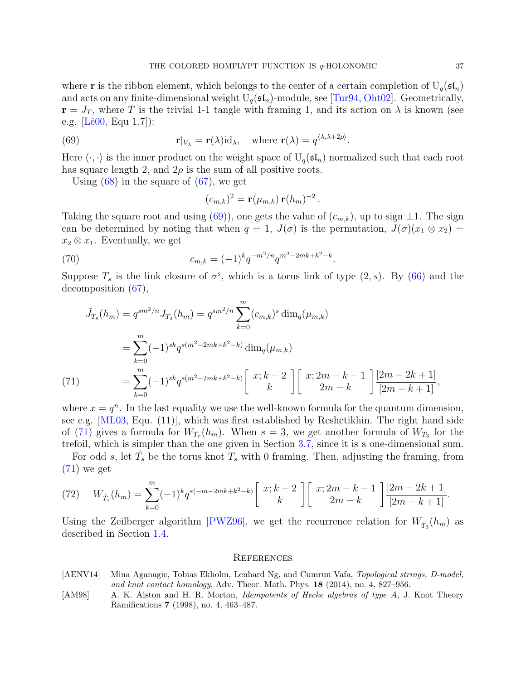where **r** is the ribbon element, which belongs to the center of a certain completion of  $U_q(\mathfrak{sl}_n)$ and acts on any finite-dimensional weight  $U_q(\mathfrak{sl}_n)$ -module, see [\[Tur94,](#page-39-1) [Oht02\]](#page-38-1). Geometrically,  $\mathbf{r} = J_T$ , where T is the trivial 1-1 tangle with framing 1, and its action on  $\lambda$  is known (see e.g.  $[Lê00, Equ 1.7]$ :

(69) 
$$
\mathbf{r}|_{V_{\lambda}} = \mathbf{r}(\lambda) \mathrm{id}_{\lambda}, \quad \text{where } \mathbf{r}(\lambda) = q^{\langle \lambda, \lambda + 2\rho \rangle}
$$

Here  $\langle \cdot, \cdot \rangle$  is the inner product on the weight space of  $U_q(\mathfrak{sl}_n)$  normalized such that each root has square length 2, and  $2\rho$  is the sum of all positive roots.

.

Using  $(68)$  in the square of  $(67)$ , we get

<span id="page-36-3"></span>
$$
(c_{m,k})^2 = \mathbf{r}(\mu_{m,k}) \mathbf{r}(h_m)^{-2}.
$$

Taking the square root and using [\(69\)](#page-36-3)), one gets the value of  $(c_{m,k})$ , up to sign  $\pm 1$ . The sign can be determined by noting that when  $q = 1$ ,  $J(\sigma)$  is the permutation,  $J(\sigma)(x_1 \otimes x_2) =$  $x_2 \otimes x_1$ . Eventually, we get

(70) 
$$
c_{m,k} = (-1)^k q^{-m^2/n} q^{m^2 - 2mk + k^2 - k}.
$$

Suppose  $T_s$  is the link closure of  $\sigma^s$ , which is a torus link of type  $(2, s)$ . By  $(66)$  and the decomposition [\(67\)](#page-35-2),

$$
\tilde{J}_{T_s}(h_m) = q^{sm^2/n} J_{T_s}(h_m) = q^{sm^2/n} \sum_{k=0}^m (c_{m,k})^s \dim_q(\mu_{m,k})
$$
\n
$$
= \sum_{k=0}^m (-1)^{sk} q^{s(m^2-2mk+k^2-k)} \dim_q(\mu_{m,k})
$$
\n(71)\n
$$
= \sum_{k=0}^m (-1)^{sk} q^{s(m^2-2mk+k^2-k)} \left[ x; k-2 \atop k \right] \left[ x; 2m-k-1 \atop 2m-k \right] \frac{[2m-2k+1]}{[2m-k+1]},
$$

<span id="page-36-4"></span>where  $x = q^n$ . In the last equality we use the well-known formula for the quantum dimension, see e.g. [\[ML03,](#page-38-5) Equ. (11)], which was first established by Reshetikhin. The right hand side of [\(71\)](#page-36-4) gives a formula for  $W_{T_r}(h_m)$ . When  $s=3$ , we get another formula of  $W_{T_3}$  for the trefoil, which is simpler than the one given in Section [3.7,](#page-22-0) since it is a one-dimensional sum.

For odd s, let  $T_s$  be the torus knot  $T_s$  with 0 framing. Then, adjusting the framing, from  $(71)$  we get

(72) 
$$
W_{T_s}(h_m) = \sum_{k=0}^m (-1)^k q^{s(-m-2mk+k^2-k)} \begin{bmatrix} x; k-2 \ k \end{bmatrix} \begin{bmatrix} x; 2m-k-1 \ 2m-k \end{bmatrix} \frac{[2m-2k+1]}{[2m-k+1]}.
$$

Using the Zeilberger algorithm [\[PWZ96\]](#page-38-9), we get the recurrence relation for  $W_{\tilde{T}_3}(h_m)$  as described in Section [1.4.](#page-4-0)

### <span id="page-36-0"></span>**REFERENCES**

- <span id="page-36-1"></span>[AENV14] Mina Aganagic, Tobias Ekholm, Lenhard Ng, and Cumrun Vafa, Topological strings, D-model, and knot contact homology, Adv. Theor. Math. Phys. 18 (2014), no. 4, 827–956.
- <span id="page-36-2"></span>[AM98] A. K. Aiston and H. R. Morton, *Idempotents of Hecke algebras of type A*, J. Knot Theory Ramifications 7 (1998), no. 4, 463–487.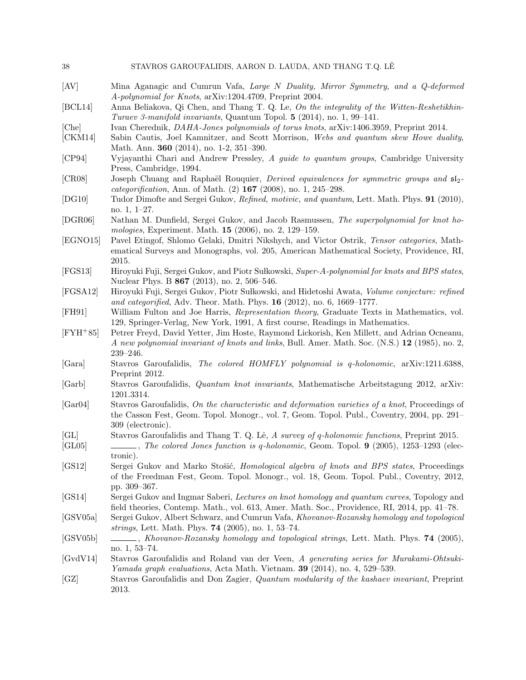<span id="page-37-23"></span><span id="page-37-22"></span><span id="page-37-21"></span><span id="page-37-20"></span><span id="page-37-19"></span><span id="page-37-18"></span><span id="page-37-17"></span><span id="page-37-16"></span><span id="page-37-15"></span><span id="page-37-14"></span><span id="page-37-13"></span><span id="page-37-12"></span><span id="page-37-11"></span><span id="page-37-10"></span><span id="page-37-9"></span><span id="page-37-8"></span><span id="page-37-7"></span><span id="page-37-6"></span><span id="page-37-5"></span><span id="page-37-4"></span><span id="page-37-3"></span><span id="page-37-2"></span><span id="page-37-1"></span><span id="page-37-0"></span>

| 38               | STAVROS GAROUFALIDIS, AARON D. LAUDA, AND THANG T.Q. LE                                                                                                                                                                             |
|------------------|-------------------------------------------------------------------------------------------------------------------------------------------------------------------------------------------------------------------------------------|
| [AV]             | Mina Aganagic and Cumrun Vafa, Large N Duality, Mirror Symmetry, and a Q-deformed<br>A-polynomial for Knots, arXiv:1204.4709, Preprint 2004.                                                                                        |
| [BCL14]          | Anna Beliakova, Qi Chen, and Thang T. Q. Le, On the integrality of the Witten-Reshetikhin-<br>Turaev 3-manifold invariants, Quantum Topol. 5 (2014), no. 1, 99-141.                                                                 |
| [Che]<br>[CKM14] | Ivan Cherednik, <i>DAHA-Jones polynomials of torus knots</i> , arXiv:1406.3959, Preprint 2014.<br>Sabin Cautis, Joel Kamnitzer, and Scott Morrison, Webs and quantum skew Howe duality,<br>Math. Ann. 360 (2014), no. 1-2, 351-390. |
| [CP94]           | Vyjayanthi Chari and Andrew Pressley, A guide to quantum groups, Cambridge University<br>Press, Cambridge, 1994.                                                                                                                    |
| [CR08]           | Joseph Chuang and Raphaël Rouquier, <i>Derived equivalences for symmetric groups and</i> $\mathfrak{sl}_2$ -<br><i>categorification</i> , Ann. of Math. $(2)$ 167 $(2008)$ , no. 1, 245–298.                                        |
| [DG10]           | Tudor Dimofte and Sergei Gukov, Refined, motivic, and quantum, Lett. Math. Phys. 91 (2010),<br>no. $1, 1-27.$                                                                                                                       |
| [DGR06]          | Nathan M. Dunfield, Sergei Gukov, and Jacob Rasmussen, The superpolynomial for knot ho-<br>mologies, Experiment. Math. $15$ (2006), no. 2, 129–159.                                                                                 |
| [EGNO15]         | Pavel Etingof, Shlomo Gelaki, Dmitri Nikshych, and Victor Ostrik, Tensor categories, Math-<br>ematical Surveys and Monographs, vol. 205, American Mathematical Society, Providence, RI,<br>2015.                                    |
| [FGS13]          | Hiroyuki Fuji, Sergei Gukov, and Piotr Sułkowski, Super-A-polynomial for knots and BPS states,<br>Nuclear Phys. B 867 (2013), no. 2, 506-546.                                                                                       |
| [FGSA12]         | Hiroyuki Fuji, Sergei Gukov, Piotr Sułkowski, and Hidetoshi Awata, Volume conjecture: refined<br>and categorified, Adv. Theor. Math. Phys. 16 (2012), no. 6, 1669-1777.                                                             |
| [FH91]           | William Fulton and Joe Harris, Representation theory, Graduate Texts in Mathematics, vol.<br>129, Springer-Verlag, New York, 1991, A first course, Readings in Mathematics.                                                         |
| $[$ FYH $+85]$   | Petrer Freyd, David Yetter, Jim Hoste, Raymond Lickorish, Ken Millett, and Adrian Ocneanu,<br>A new polynomial invariant of knots and links, Bull. Amer. Math. Soc. (N.S.) 12 (1985), no. 2,<br>$239 - 246.$                        |
| [Gara]           | Stavros Garoufalidis, The colored HOMFLY polynomial is q-holonomic, arXiv:1211.6388,<br>Preprint 2012.                                                                                                                              |
| [Garb]           | Stavros Garoufalidis, <i>Quantum knot invariants</i> , Mathematische Arbeitstagung 2012, arXiv:<br>1201.3314.                                                                                                                       |
| [Gar04]          | Stavros Garoufalidis, On the characteristic and deformation varieties of a knot, Proceedings of<br>the Casson Fest, Geom. Topol. Monogr., vol. 7, Geom. Topol. Publ., Coventry, 2004, pp. 291–<br>309 (electronic).                 |
| GL <br>[GL05]    | Stavros Garoufalidis and Thang T. Q. Lê, A survey of q-holonomic functions, Preprint 2015.<br>, The colored Jones function is q-holonomic, Geom. Topol. 9 (2005), 1253-1293 (elec-<br>tronic).                                      |
| [GS12]           | Sergei Gukov and Marko Stošić, <i>Homological algebra of knots and BPS states</i> , Proceedings<br>of the Freedman Fest, Geom. Topol. Monogr., vol. 18, Geom. Topol. Publ., Coventry, 2012,<br>pp. 309–367.                         |
| [GS14]           | Sergei Gukov and Ingmar Saberi, Lectures on knot homology and quantum curves, Topology and<br>field theories, Contemp. Math., vol. 613, Amer. Math. Soc., Providence, RI, 2014, pp. 41–78.                                          |
| [GSV05a]         | Sergei Gukov, Albert Schwarz, and Cumrun Vafa, Khovanov-Rozansky homology and topological<br>strings, Lett. Math. Phys. 74 (2005), no. 1, 53–74.                                                                                    |
| [GSV05b]         | no. 1, 53-74.                                                                                                                                                                                                                       |
| [GvdV14]         | Stavros Garoufalidis and Roland van der Veen, A generating series for Murakami-Ohtsuki-<br><i>Yamada graph evaluations, Acta Math. Vietnam.</i> <b>39</b> (2014), no. 4, 529–539.                                                   |
| [GZ]             | Stavros Garoufalidis and Don Zagier, Quantum modularity of the kashaev invariant, Preprint<br>2013.                                                                                                                                 |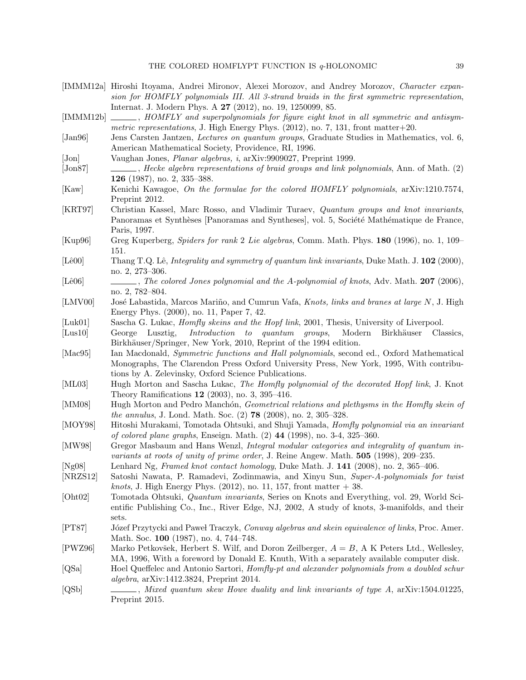- <span id="page-38-12"></span>[IMMM12a] Hiroshi Itoyama, Andrei Mironov, Alexei Morozov, and Andrey Morozov, Character expansion for HOMFLY polynomials III. All 3-strand braids in the first symmetric representation, Internat. J. Modern Phys. A 27 (2012), no. 19, 1250099, 85.
- <span id="page-38-11"></span>[IMMM12b]  $\qquad \qquad$ , HOMFLY and superpolynomials for figure eight knot in all symmetric and antisymmetric representations, J. High Energy Phys.  $(2012)$ , no. 7, 131, front matter+20.
- <span id="page-38-14"></span>[Jan96] Jens Carsten Jantzen, *Lectures on quantum groups*, Graduate Studies in Mathematics, vol. 6, American Mathematical Society, Providence, RI, 1996.
- <span id="page-38-20"></span>[Jon] Vaughan Jones, Planar algebras, i, arXiv:9909027, Preprint 1999.
- <span id="page-38-0"></span>[Jon87] , Hecke algebra representations of braid groups and link polynomials, Ann. of Math. (2) 126 (1987), no. 2, 335–388.
- <span id="page-38-7"></span>[Kaw] Kenichi Kawagoe, On the formulae for the colored HOMFLY polynomials, arXiv:1210.7574, Preprint 2012.
- <span id="page-38-22"></span>[KRT97] Christian Kassel, Marc Rosso, and Vladimir Turaev, Quantum groups and knot invariants, Panoramas et Synthèses [Panoramas and Syntheses], vol. 5, Société Mathématique de France, Paris, 1997.
- <span id="page-38-19"></span>[Kup96] Greg Kuperberg, Spiders for rank 2 Lie algebras, Comm. Math. Phys. 180 (1996), no. 1, 109– 151.
- <span id="page-38-2"></span>[Lê00] Thang T.Q. Lê, *Integrality and symmetry of quantum link invariants*, Duke Math. J. 102 (2000), no. 2, 273–306.
- <span id="page-38-3"></span>[Lê06] , The colored Jones polynomial and the A-polynomial of knots, Adv. Math. 207 (2006), no. 2, 782–804.
- <span id="page-38-13"></span>[LMV00] José Labastida, Marcos Mariño, and Cumrun Vafa, Knots, links and branes at large N, J. High Energy Phys. (2000), no. 11, Paper 7, 42.
- <span id="page-38-18"></span>[Luk01] Sascha G. Lukac, *Homfly skeins and the Hopf link*, 2001, Thesis, University of Liverpool.
- <span id="page-38-15"></span>[Lus10] George Lusztig, *Introduction to quantum groups*, Modern Birkhäuser Classics, Birkhäuser/Springer, New York, 2010, Reprint of the 1994 edition.
- <span id="page-38-16"></span>[Mac95] Ian Macdonald, *Symmetric functions and Hall polynomials*, second ed., Oxford Mathematical Monographs, The Clarendon Press Oxford University Press, New York, 1995, With contributions by A. Zelevinsky, Oxford Science Publications.
- <span id="page-38-5"></span>[ML03] Hugh Morton and Sascha Lukac, The Homfly polynomial of the decorated Hopf link, J. Knot Theory Ramifications 12 (2003), no. 3, 395–416.
- <span id="page-38-6"></span>[MM08] Hugh Morton and Pedro Manchón, Geometrical relations and plethysms in the Homfly skein of the annulus, J. Lond. Math. Soc. (2) 78 (2008), no. 2, 305–328.
- <span id="page-38-21"></span>[MOY98] Hitoshi Murakami, Tomotada Ohtsuki, and Shuji Yamada, Homfly polynomial via an invariant of colored plane graphs, Enseign. Math. (2) 44 (1998), no. 3-4, 325–360.
- <span id="page-38-17"></span>[MW98] Gregor Masbaum and Hans Wenzl, *Integral modular categories and integrality of quantum in*variants at roots of unity of prime order, J. Reine Angew. Math. 505 (1998), 209–235.
- <span id="page-38-8"></span>[Ng08] Lenhard Ng, Framed knot contact homology, Duke Math. J. 141 (2008), no. 2, 365–406.
- <span id="page-38-10"></span>[NRZS12] Satoshi Nawata, P. Ramadevi, Zodinmawia, and Xinyu Sun, Super-A-polynomials for twist *knots*, J. High Energy Phys.  $(2012)$ , no. 11, 157, front matter  $+38$ .
- <span id="page-38-1"></span>[Oht02] Tomotada Ohtsuki, Quantum invariants, Series on Knots and Everything, vol. 29, World Scientific Publishing Co., Inc., River Edge, NJ, 2002, A study of knots, 3-manifolds, and their sets.
- <span id="page-38-4"></span>[PT87] Józef Przytycki and Paweł Traczyk, Conway algebras and skein equivalence of links, Proc. Amer. Math. Soc. 100 (1987), no. 4, 744–748.
- <span id="page-38-9"></span>[PWZ96] Marko Petkovšek, Herbert S. Wilf, and Doron Zeilberger,  $A = B$ , A K Peters Ltd., Wellesley, MA, 1996, With a foreword by Donald E. Knuth, With a separately available computer disk.
- <span id="page-38-24"></span>[QSa] Hoel Queffelec and Antonio Sartori, Homfly-pt and alexander polynomials from a doubled schur algebra, arXiv:1412.3824, Preprint 2014.
- <span id="page-38-23"></span>[QSb] , Mixed quantum skew Howe duality and link invariants of type A, arXiv:1504.01225, Preprint 2015.